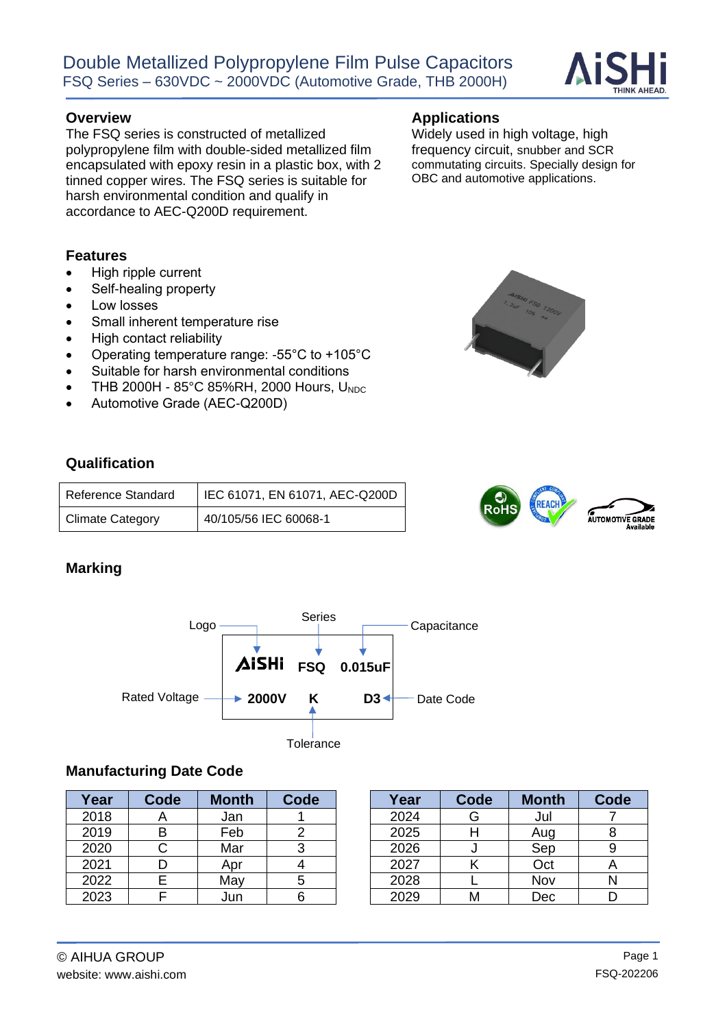

The FSQ series is constructed of metallized polypropylene film with double-sided metallized film encapsulated with epoxy resin in a plastic box, with 2 tinned copper wires. The FSQ series is suitable for harsh environmental condition and qualify in accordance to AEC-Q200D requirement.

#### **Features**

- High ripple current
- Self-healing property
- Low losses
- Small inherent temperature rise
- High contact reliability
- Operating temperature range: -55°C to +105°C
- Suitable for harsh environmental conditions
- THB 2000H 85°C 85%RH, 2000 Hours, U<sub>NDC</sub>
- Automotive Grade (AEC-Q200D)

#### **Qualification**

| Reference Standard      | IEC 61071, EN 61071, AEC-Q200D |
|-------------------------|--------------------------------|
| <b>Climate Category</b> | 40/105/56 IEC 60068-1          |

#### **Marking**



#### **Manufacturing Date Code**

| Year | Code | <b>Month</b> | Code | Year | Code | <b>Month</b> | Code |
|------|------|--------------|------|------|------|--------------|------|
| 2018 |      | Jan          |      | 2024 | G    | Jul          |      |
| 2019 | B    | Feb          |      | 2025 |      | Aug          |      |
| 2020 |      | Mar          |      | 2026 |      | Sep          |      |
| 2021 |      | Apr          |      | 2027 |      | Oct          |      |
| 2022 |      | May          |      | 2028 |      | Nov          |      |
| 2023 |      | Jun          |      | 2029 | М    | Dec          |      |

| Year | Code | <b>Month</b> | Code |
|------|------|--------------|------|
| 2024 | G    | Jul          |      |
| 2025 |      | Aug          |      |
| 2026 |      | Sep          |      |
| 2027 |      | Oct          |      |
| 2028 |      | Nov          |      |
| 2029 |      | Dec          |      |

Widely used in high voltage, high frequency circuit, snubber and SCR commutating circuits. Specially design for OBC and automotive applications.



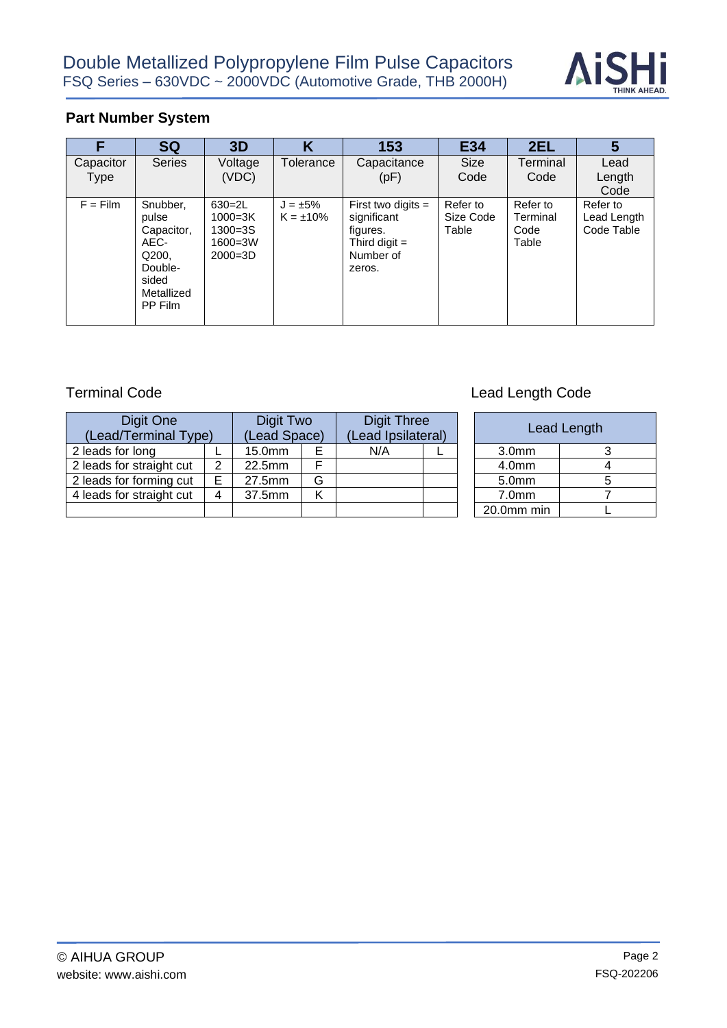

# **Part Number System**

| F                 | <b>SQ</b>                                                                                     | 3D                                                                     | Κ                               | 153                                                                                       | E34                            | 2EL                                   | 5                                     |
|-------------------|-----------------------------------------------------------------------------------------------|------------------------------------------------------------------------|---------------------------------|-------------------------------------------------------------------------------------------|--------------------------------|---------------------------------------|---------------------------------------|
| Capacitor<br>Type | <b>Series</b>                                                                                 | Voltage<br>(VDC)                                                       | Tolerance                       | Capacitance<br>(pF)                                                                       | <b>Size</b><br>Code            | Terminal<br>Code                      | Lead<br>Length<br>Code                |
| $F = Film$        | Snubber,<br>pulse<br>Capacitor,<br>AEC-<br>Q200.<br>Double-<br>sided<br>Metallized<br>PP Film | $630 = 2L$<br>$1000 = 3K$<br>$1300 = 3S$<br>$1600 = 3W$<br>$2000 = 3D$ | $J = \pm 5\%$<br>$K = \pm 10\%$ | First two digits $=$<br>significant<br>figures.<br>Third digit $=$<br>Number of<br>zeros. | Refer to<br>Size Code<br>Table | Refer to<br>Terminal<br>Code<br>Table | Refer to<br>Lead Length<br>Code Table |

| Digit One<br>(Lead/Terminal Type) |   | Digit Two<br>(Lead Space) |   | <b>Digit Three</b><br>(Lead Ipsilateral) |  |                   | Lead Length |
|-----------------------------------|---|---------------------------|---|------------------------------------------|--|-------------------|-------------|
| 2 leads for long                  |   | 15.0mm                    | Е | N/A                                      |  | 3.0 <sub>mm</sub> | 3           |
| 2 leads for straight cut          | 2 | 22.5mm                    |   |                                          |  | 4.0 <sub>mm</sub> | 4           |
| 2 leads for forming cut           | E | 27.5mm                    | G |                                          |  | 5.0 <sub>mm</sub> | 5           |
| 4 leads for straight cut          | 4 | 37.5mm                    | Κ |                                          |  | 7.0 <sub>mm</sub> |             |
|                                   |   |                           |   |                                          |  | 20.0mm min        |             |

# Terminal Code **Lead Length Code Lead Length Code**

| <b>Digit Three</b><br>(Lead Ipsilateral) |  |                   | Lead Length |
|------------------------------------------|--|-------------------|-------------|
| N/A                                      |  | 3.0 <sub>mm</sub> |             |
|                                          |  | 4.0 <sub>mm</sub> |             |
|                                          |  | 5.0mm             |             |
|                                          |  | 7.0 <sub>mm</sub> |             |
|                                          |  | 20.0mm min        |             |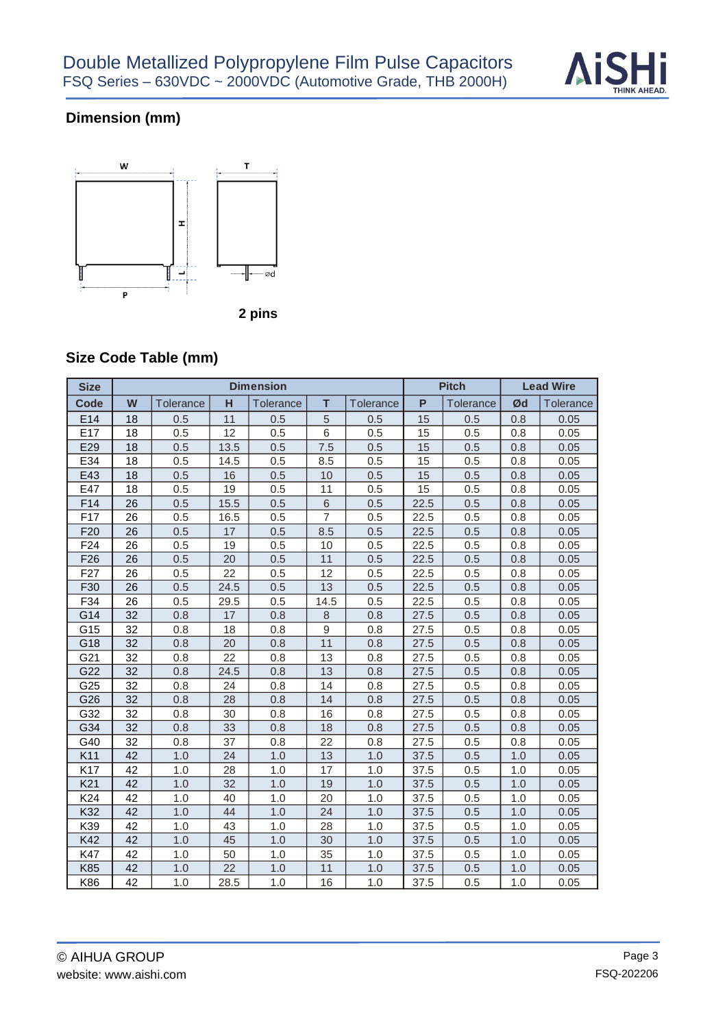

# **Dimension (mm)**



# **Size Code Table (mm)**

| <b>Size</b>     |                 |                  |      | <b>Dimension</b> |                |           |      | <b>Pitch</b> | <b>Lead Wire</b> |           |  |
|-----------------|-----------------|------------------|------|------------------|----------------|-----------|------|--------------|------------------|-----------|--|
| <b>Code</b>     | W               | <b>Tolerance</b> | н    | Tolerance        | T              | Tolerance | P    | Tolerance    | Ød               | Tolerance |  |
| E14             | 18              | 0.5              | 11   | 0.5              | $\sqrt{5}$     | 0.5       | 15   | 0.5          | 0.8              | 0.05      |  |
| E17             | 18              | 0.5              | 12   | 0.5              | 6              | 0.5       | 15   | 0.5          | 0.8              | 0.05      |  |
| E29             | 18              | 0.5              | 13.5 | 0.5              | 7.5            | 0.5       | 15   | 0.5          | 0.8              | 0.05      |  |
| E34             | 18              | 0.5              | 14.5 | 0.5              | 8.5            | 0.5       | 15   | 0.5          | 0.8              | 0.05      |  |
| E43             | 18              | 0.5              | 16   | 0.5              | 10             | 0.5       | 15   | 0.5          | 0.8              | 0.05      |  |
| E47             | 18              | 0.5              | 19   | 0.5              | 11             | 0.5       | 15   | 0.5          | 0.8              | 0.05      |  |
| F14             | 26              | 0.5              | 15.5 | 0.5              | 6              | 0.5       | 22.5 | 0.5          | 0.8              | 0.05      |  |
| F17             | 26              | 0.5              | 16.5 | 0.5              | $\overline{7}$ | 0.5       | 22.5 | 0.5          | 0.8              | 0.05      |  |
| F <sub>20</sub> | 26              | 0.5              | 17   | 0.5              | 8.5            | 0.5       | 22.5 | 0.5          | 0.8              | 0.05      |  |
| F24             | 26              | 0.5              | 19   | 0.5              | 10             | 0.5       | 22.5 | 0.5          | 0.8              | 0.05      |  |
| F <sub>26</sub> | 26              | 0.5              | 20   | 0.5              | 11             | 0.5       | 22.5 | 0.5          | 0.8              | 0.05      |  |
| F <sub>27</sub> | 26              | 0.5              | 22   | 0.5              | 12             | 0.5       | 22.5 | 0.5          | 0.8              | 0.05      |  |
| F30             | 26              | 0.5              | 24.5 | 0.5              | 13             | 0.5       | 22.5 | 0.5          | 0.8              | 0.05      |  |
| F34             | 26              | 0.5              | 29.5 | 0.5              | 14.5           | 0.5       | 22.5 | 0.5          | 0.8              | 0.05      |  |
| G14             | 32              | 0.8              | 17   | 0.8              | $\,8\,$        | 0.8       | 27.5 | 0.5          | 0.8              | 0.05      |  |
| G15             | 32              | 0.8              | 18   | 0.8              | $\hbox{9}$     | 0.8       | 27.5 | 0.5          | 0.8              | 0.05      |  |
| G18             | 32              | 0.8              | 20   | 0.8              | 11             | 0.8       | 27.5 | 0.5          | 0.8              | 0.05      |  |
| G21             | 32              | 0.8              | 22   | 0.8              | 13             | 0.8       | 27.5 | 0.5          | 0.8              | 0.05      |  |
| G22             | 32              | 0.8              | 24.5 | 0.8              | 13             | 0.8       | 27.5 | 0.5          | 0.8              | 0.05      |  |
| G25             | 32              | 0.8              | 24   | 0.8              | 14             | 0.8       | 27.5 | 0.5          | 0.8              | 0.05      |  |
| G26             | 32              | 0.8              | 28   | 0.8              | 14             | 0.8       | 27.5 | 0.5          | 0.8              | 0.05      |  |
| G32             | 32              | 0.8              | 30   | 0.8              | 16             | 0.8       | 27.5 | 0.5          | 0.8              | 0.05      |  |
| G34             | 32              | 0.8              | 33   | 0.8              | 18             | 0.8       | 27.5 | 0.5          | 0.8              | 0.05      |  |
| G40             | 32              | 0.8              | 37   | 0.8              | 22             | 0.8       | 27.5 | 0.5          | 0.8              | 0.05      |  |
| K11             | 42              | 1.0              | 24   | 1.0              | 13             | 1.0       | 37.5 | 0.5          | 1.0              | 0.05      |  |
| K17             | 42              | 1.0              | 28   | 1.0              | 17             | 1.0       | 37.5 | 0.5          | 1.0              | 0.05      |  |
| K <sub>21</sub> | 42              | 1.0              | 32   | 1.0              | 19             | 1.0       | 37.5 | 0.5          | 1.0              | 0.05      |  |
| K24             | 42              | 1.0              | 40   | 1.0              | 20             | 1.0       | 37.5 | 0.5          | 1.0              | 0.05      |  |
| K32             | 42              | 1.0              | 44   | 1.0              | 24             | 1.0       | 37.5 | 0.5          | 1.0              | 0.05      |  |
| K39             | 42              | 1.0              | 43   | 1.0              | 28             | 1.0       | 37.5 | 0.5          | 1.0              | 0.05      |  |
| K42             | 42              | 1.0              | 45   | 1.0              | 30             | 1.0       | 37.5 | 0.5          | 1.0              | 0.05      |  |
| K47             | 42              | 1.0              | 50   | 1.0              | 35             | 1.0       | 37.5 | 0.5          | 1.0              | 0.05      |  |
| K85             | 42              | 1.0              | 22   | 1.0              | 11             | 1.0       | 37.5 | 0.5          | 1.0              | 0.05      |  |
| K86             | $\overline{42}$ | 1.0              | 28.5 | 1.0              | 16             | 1.0       | 37.5 | 0.5          | 1.0              | 0.05      |  |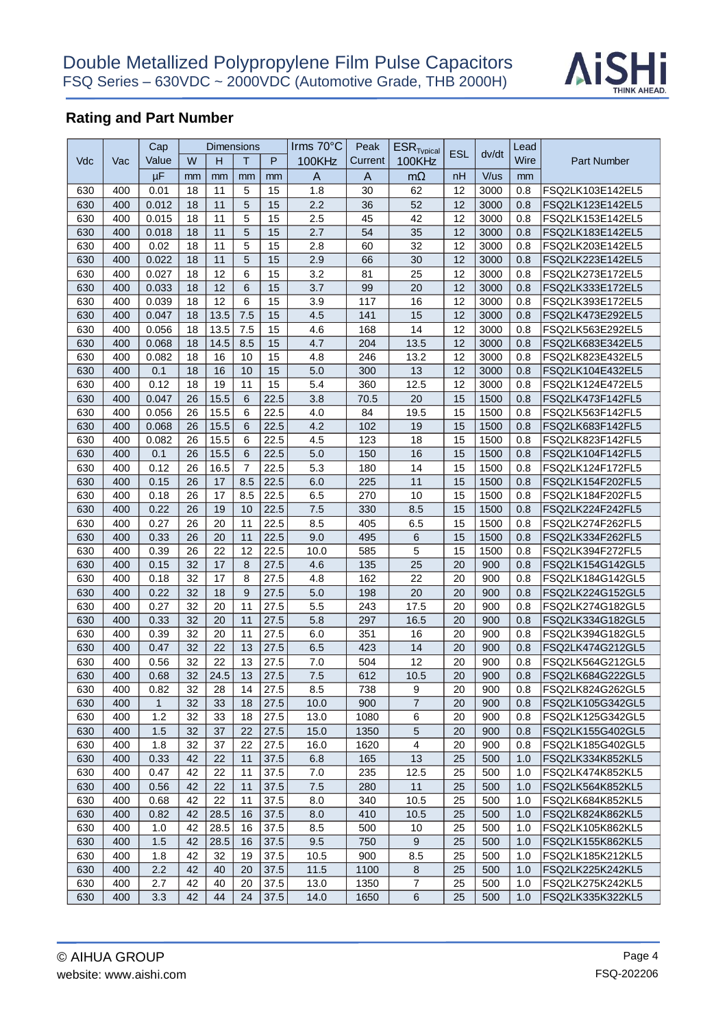

|     |     | Cap           |    | <b>Dimensions</b> |                  |          | Irms 70°C      | Peak     | $\mathsf{ESR}_\mathsf{Twbical}$ |            |              | Lead |                                      |
|-----|-----|---------------|----|-------------------|------------------|----------|----------------|----------|---------------------------------|------------|--------------|------|--------------------------------------|
| Vdc | Vac | Value         | W  | H                 | т                | P        | 100KHz         | Current  | 100KHz                          | <b>ESL</b> | dv/dt        | Wire | <b>Part Number</b>                   |
|     |     | $\mu$ F       | mm | mm                | mm               | mm       | $\overline{A}$ | A        | $m\Omega$                       | nH         | V/us         | mm   |                                      |
| 630 | 400 | 0.01          | 18 | 11                | 5                | 15       | 1.8            | 30       | 62                              | 12         | 3000         | 0.8  | FSQ2LK103E142EL5                     |
| 630 | 400 | 0.012         | 18 | 11                | 5                | 15       | 2.2            | 36       | 52                              | 12         | 3000         | 0.8  | FSQ2LK123E142EL5                     |
| 630 | 400 | 0.015         | 18 | 11                | 5                | 15       | 2.5            | 45       | 42                              | 12         | 3000         | 0.8  | FSQ2LK153E142EL5                     |
|     | 400 | 0.018         | 18 | 11                | 5                | 15       | 2.7            | 54       | 35                              | 12         | 3000         | 0.8  |                                      |
| 630 | 400 |               | 18 | 11                | 5                |          | 2.8            |          | 32                              | 12         |              | 0.8  | FSQ2LK183E142EL5                     |
| 630 | 400 | 0.02<br>0.022 | 18 | 11                | 5                | 15<br>15 | 2.9            | 60<br>66 | 30                              | 12         | 3000<br>3000 | 0.8  | FSQ2LK203E142EL5<br>FSQ2LK223E142EL5 |
| 630 |     |               |    |                   |                  |          |                |          |                                 |            |              |      |                                      |
| 630 | 400 | 0.027         | 18 | 12                | 6                | 15       | 3.2            | 81       | 25                              | 12         | 3000         | 0.8  | FSQ2LK273E172EL5                     |
| 630 | 400 | 0.033         | 18 | 12                | $\,6$            | 15       | 3.7            | 99       | 20                              | 12         | 3000         | 0.8  | FSQ2LK333E172EL5                     |
| 630 | 400 | 0.039         | 18 | 12                | 6                | 15       | 3.9            | 117      | 16                              | 12         | 3000         | 0.8  | FSQ2LK393E172EL5                     |
| 630 | 400 | 0.047         | 18 | 13.5              | 7.5              | 15       | 4.5            | 141      | 15                              | 12         | 3000         | 0.8  | FSQ2LK473E292EL5                     |
| 630 | 400 | 0.056         | 18 | 13.5              | 7.5              | 15       | 4.6            | 168      | 14                              | 12         | 3000         | 0.8  | FSQ2LK563E292EL5                     |
| 630 | 400 | 0.068         | 18 | 14.5              | 8.5              | 15       | 4.7            | 204      | 13.5                            | 12         | 3000         | 0.8  | FSQ2LK683E342EL5                     |
| 630 | 400 | 0.082         | 18 | 16                | 10               | 15       | 4.8            | 246      | 13.2                            | 12         | 3000         | 0.8  | FSQ2LK823E432EL5                     |
| 630 | 400 | 0.1           | 18 | 16                | 10               | 15       | 5.0            | 300      | 13                              | 12         | 3000         | 0.8  | FSQ2LK104E432EL5                     |
| 630 | 400 | 0.12          | 18 | 19                | 11               | 15       | 5.4            | 360      | 12.5                            | 12         | 3000         | 0.8  | FSQ2LK124E472EL5                     |
| 630 | 400 | 0.047         | 26 | 15.5              | 6                | 22.5     | 3.8            | 70.5     | 20                              | 15         | 1500         | 0.8  | FSQ2LK473F142FL5                     |
| 630 | 400 | 0.056         | 26 | 15.5              | 6                | 22.5     | 4.0            | 84       | 19.5                            | 15         | 1500         | 0.8  | FSQ2LK563F142FL5                     |
| 630 | 400 | 0.068         | 26 | 15.5              | 6                | 22.5     | 4.2            | 102      | 19                              | 15         | 1500         | 0.8  | FSQ2LK683F142FL5                     |
| 630 | 400 | 0.082         | 26 | 15.5              | 6                | 22.5     | 4.5            | 123      | 18                              | 15         | 1500         | 0.8  | FSQ2LK823F142FL5                     |
| 630 | 400 | 0.1           | 26 | 15.5              | 6                | 22.5     | 5.0            | 150      | 16                              | 15         | 1500         | 0.8  | FSQ2LK104F142FL5                     |
| 630 | 400 | 0.12          | 26 | 16.5              | $\overline{7}$   | 22.5     | 5.3            | 180      | 14                              | 15         | 1500         | 0.8  | FSQ2LK124F172FL5                     |
| 630 | 400 | 0.15          | 26 | 17                | 8.5              | 22.5     | 6.0            | 225      | 11                              | 15         | 1500         | 0.8  | FSQ2LK154F202FL5                     |
| 630 | 400 | 0.18          | 26 | 17                | 8.5              | 22.5     | 6.5            | 270      | 10                              | 15         | 1500         | 0.8  | FSQ2LK184F202FL5                     |
| 630 | 400 | 0.22          | 26 | 19                | 10               | 22.5     | 7.5            | 330      | 8.5                             | 15         | 1500         | 0.8  | FSQ2LK224F242FL5                     |
| 630 | 400 | 0.27          | 26 | 20                | 11               | 22.5     | 8.5            | 405      | 6.5                             | 15         | 1500         | 0.8  | FSQ2LK274F262FL5                     |
| 630 | 400 | 0.33          | 26 | 20                | 11               | 22.5     | 9.0            | 495      | 6                               | 15         | 1500         | 0.8  | FSQ2LK334F262FL5                     |
| 630 | 400 | 0.39          | 26 | 22                | 12               | 22.5     | 10.0           | 585      | 5                               | 15         | 1500         | 0.8  | FSQ2LK394F272FL5                     |
| 630 | 400 | 0.15          | 32 | 17                | $\boldsymbol{8}$ | 27.5     | 4.6            | 135      | 25                              | 20         | 900          | 0.8  | FSQ2LK154G142GL5                     |
| 630 | 400 | 0.18          | 32 | 17                | 8                | 27.5     | 4.8            | 162      | 22                              | 20         | 900          | 0.8  | FSQ2LK184G142GL5                     |
| 630 | 400 | 0.22          | 32 | 18                | 9                | 27.5     | 5.0            | 198      | 20                              | 20         | 900          | 0.8  | FSQ2LK224G152GL5                     |
| 630 | 400 | 0.27          | 32 | 20                | 11               | 27.5     | 5.5            | 243      | 17.5                            | 20         | 900          | 0.8  | FSQ2LK274G182GL5                     |
| 630 | 400 | 0.33          | 32 | 20                | 11               | 27.5     | 5.8            | 297      | 16.5                            | 20         | 900          | 0.8  | FSQ2LK334G182GL5                     |
| 630 | 400 | 0.39          | 32 | 20                | 11               | 27.5     | $6.0\,$        | 351      | 16                              | 20         | 900          | 0.8  | FSQ2LK394G182GL5                     |
| 630 | 400 | 0.47          | 32 | 22                | 13               | 27.5     | 6.5            | 423      | 14                              | 20         | 900          | 0.8  | FSQ2LK474G212GL5                     |
| 630 | 400 | 0.56          | 32 | 22                | 13               | 27.5     | 7.0            | 504      | 12                              | 20         | 900          | 0.8  | FSQ2LK564G212GL5                     |
| 630 | 400 | 0.68          | 32 | 24.5              | 13               | 27.5     | 7.5            | 612      | 10.5                            | 20         | 900          | 0.8  | FSQ2LK684G222GL5                     |
| 630 | 400 | 0.82          | 32 | 28                | 14               | 27.5     | 8.5            | 738      | 9                               | 20         | 900          | 0.8  | FSQ2LK824G262GL5                     |
| 630 | 400 | $\mathbf{1}$  | 32 | 33                | 18               | 27.5     | 10.0           | 900      | $\overline{7}$                  | 20         | 900          | 0.8  | FSQ2LK105G342GL5                     |
| 630 | 400 | 1.2           | 32 | 33                | 18               | 27.5     | 13.0           | 1080     | 6                               | 20         | 900          | 0.8  | FSQ2LK125G342GL5                     |
| 630 | 400 | 1.5           | 32 | 37                | 22               | 27.5     | 15.0           | 1350     | 5                               | 20         | 900          | 0.8  | FSQ2LK155G402GL5                     |
| 630 | 400 | 1.8           | 32 | 37                | 22               | 27.5     | 16.0           | 1620     | $\overline{\mathbf{4}}$         | 20         | 900          | 0.8  | FSQ2LK185G402GL5                     |
| 630 | 400 | 0.33          | 42 | 22                | 11               | 37.5     | 6.8            | 165      | 13                              | 25         | 500          | 1.0  | FSQ2LK334K852KL5                     |
| 630 | 400 | 0.47          | 42 | 22                | 11               | 37.5     | 7.0            | 235      | 12.5                            | 25         | 500          | 1.0  | FSQ2LK474K852KL5                     |
| 630 | 400 | 0.56          | 42 | 22                | 11               | 37.5     | 7.5            | 280      | 11                              | 25         | 500          | 1.0  | FSQ2LK564K852KL5                     |
| 630 | 400 | 0.68          | 42 | 22                | 11               | 37.5     | 8.0            | 340      | 10.5                            | 25         | 500          | 1.0  | FSQ2LK684K852KL5                     |
| 630 | 400 | 0.82          | 42 | 28.5              | 16               | 37.5     | 8.0            | 410      | 10.5                            | 25         | 500          | 1.0  | FSQ2LK824K862KL5                     |
| 630 | 400 | 1.0           | 42 | 28.5              | 16               | 37.5     | 8.5            | 500      | 10                              | 25         | 500          | 1.0  | FSQ2LK105K862KL5                     |
|     |     |               |    |                   |                  |          |                |          |                                 |            |              |      |                                      |
| 630 | 400 | 1.5           | 42 | 28.5              | 16               | 37.5     | 9.5            | 750      | 9                               | 25         | 500          | 1.0  | FSQ2LK155K862KL5                     |
| 630 | 400 | 1.8           | 42 | 32                | 19               | 37.5     | 10.5           | 900      | 8.5                             | 25         | 500          | 1.0  | FSQ2LK185K212KL5                     |
| 630 | 400 | 2.2           | 42 | 40                | 20               | 37.5     | 11.5           | 1100     | 8                               | 25         | 500          | 1.0  | FSQ2LK225K242KL5                     |
| 630 | 400 | 2.7           | 42 | 40                | 20               | 37.5     | 13.0           | 1350     | 7                               | 25         | 500          | 1.0  | FSQ2LK275K242KL5                     |
| 630 | 400 | 3.3           | 42 | 44                | 24               | 37.5     | 14.0           | 1650     | 6                               | 25         | 500          | 1.0  | FSQ2LK335K322KL5                     |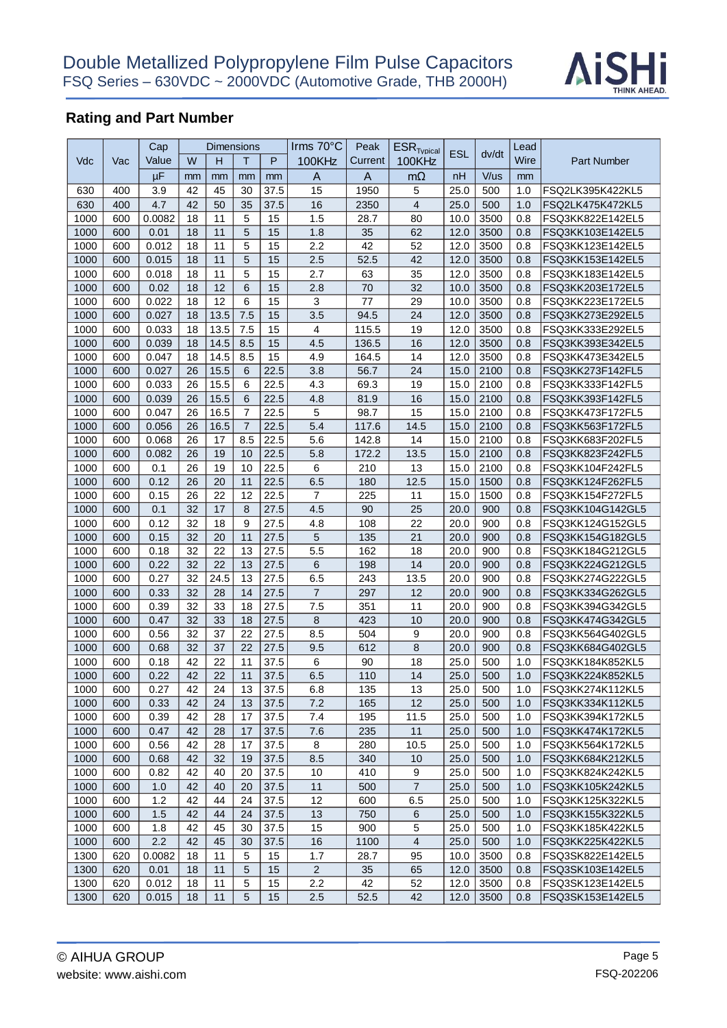

|      |     | Cap    |    |      | Dimensions     |      | Irms $70^{\circ}$ C | Peak    | $ESR$ <sub>Tvpical</sub> |            |           | Lead |                    |
|------|-----|--------|----|------|----------------|------|---------------------|---------|--------------------------|------------|-----------|------|--------------------|
| Vdc  | Vac | Value  | W  | н    | т              | P    | 100KHz              | Current | 100KHz                   | <b>ESL</b> | dv/dt     | Wire | <b>Part Number</b> |
|      |     | μF     | mm | mm   | mm             | mm   | A                   | A       | $m\Omega$                | nH         | V/us      | mm   |                    |
| 630  | 400 | 3.9    | 42 | 45   | 30             | 37.5 | 15                  | 1950    | 5                        | 25.0       | 500       | 1.0  | FSQ2LK395K422KL5   |
| 630  | 400 | 4.7    | 42 | 50   | 35             | 37.5 | 16                  | 2350    | 4                        | 25.0       | 500       | 1.0  | FSQ2LK475K472KL5   |
| 1000 | 600 | 0.0082 | 18 | 11   | 5              | 15   | 1.5                 | 28.7    | 80                       | 10.0       | 3500      | 0.8  | FSQ3KK822E142EL5   |
| 1000 | 600 | 0.01   | 18 | 11   | 5              | 15   | 1.8                 | 35      | 62                       | 12.0       | 3500      | 0.8  | FSQ3KK103E142EL5   |
| 1000 | 600 | 0.012  | 18 | 11   | 5              | 15   | 2.2                 | 42      | 52                       | 12.0       | 3500      | 0.8  | FSQ3KK123E142EL5   |
|      | 600 | 0.015  | 18 | 11   | 5              | 15   | 2.5                 | 52.5    | 42                       | 12.0       | 3500      | 0.8  | FSQ3KK153E142EL5   |
| 1000 |     |        |    |      |                |      | 2.7                 |         |                          |            |           |      |                    |
| 1000 | 600 | 0.018  | 18 | 11   | 5              | 15   |                     | 63      | 35                       | 12.0       | 3500      | 0.8  | FSQ3KK183E142EL5   |
| 1000 | 600 | 0.02   | 18 | 12   | 6              | 15   | 2.8                 | 70      | 32                       | 10.0       | 3500      | 0.8  | FSQ3KK203E172EL5   |
| 1000 | 600 | 0.022  | 18 | 12   | 6              | 15   | 3                   | 77      | 29                       | 10.0       | 3500      | 0.8  | FSQ3KK223E172EL5   |
| 1000 | 600 | 0.027  | 18 | 13.5 | 7.5            | 15   | 3.5                 | 94.5    | 24                       | 12.0       | 3500      | 0.8  | FSQ3KK273E292EL5   |
| 1000 | 600 | 0.033  | 18 | 13.5 | 7.5            | 15   | 4                   | 115.5   | 19                       | 12.0       | 3500      | 0.8  | FSQ3KK333E292EL5   |
| 1000 | 600 | 0.039  | 18 | 14.5 | 8.5            | 15   | 4.5                 | 136.5   | 16                       | 12.0       | 3500      | 0.8  | FSQ3KK393E342EL5   |
| 1000 | 600 | 0.047  | 18 | 14.5 | 8.5            | 15   | 4.9                 | 164.5   | 14                       | 12.0       | 3500      | 0.8  | FSQ3KK473E342EL5   |
| 1000 | 600 | 0.027  | 26 | 15.5 | 6              | 22.5 | 3.8                 | 56.7    | 24                       | 15.0       | 2100      | 0.8  | FSQ3KK273F142FL5   |
| 1000 | 600 | 0.033  | 26 | 15.5 | 6              | 22.5 | 4.3                 | 69.3    | 19                       | 15.0       | 2100      | 0.8  | FSQ3KK333F142FL5   |
| 1000 | 600 | 0.039  | 26 | 15.5 | 6              | 22.5 | 4.8                 | 81.9    | 16                       | 15.0       | 2100      | 0.8  | FSQ3KK393F142FL5   |
| 1000 | 600 | 0.047  | 26 | 16.5 | $\overline{7}$ | 22.5 | 5                   | 98.7    | 15                       | 15.0       | 2100      | 0.8  | FSQ3KK473F172FL5   |
| 1000 | 600 | 0.056  | 26 | 16.5 | $\overline{7}$ | 22.5 | 5.4                 | 117.6   | 14.5                     | 15.0       | 2100      | 0.8  | FSQ3KK563F172FL5   |
| 1000 | 600 | 0.068  | 26 | 17   | 8.5            | 22.5 | 5.6                 | 142.8   | 14                       | 15.0       | 2100      | 0.8  | FSQ3KK683F202FL5   |
| 1000 | 600 | 0.082  | 26 | 19   | 10             | 22.5 | 5.8                 | 172.2   | 13.5                     | 15.0       | 2100      | 0.8  | FSQ3KK823F242FL5   |
| 1000 | 600 | 0.1    | 26 | 19   | 10             | 22.5 | $\,6$               | 210     | 13                       | 15.0       | 2100      | 0.8  | FSQ3KK104F242FL5   |
| 1000 | 600 | 0.12   | 26 | 20   | 11             | 22.5 | 6.5                 | 180     | 12.5                     | 15.0       | 1500      | 0.8  | FSQ3KK124F262FL5   |
| 1000 | 600 | 0.15   | 26 | 22   | 12             | 22.5 | $\overline{7}$      | 225     | 11                       | 15.0       | 1500      | 0.8  | FSQ3KK154F272FL5   |
| 1000 | 600 | 0.1    | 32 | 17   | 8              | 27.5 | 4.5                 | 90      | 25                       | 20.0       | 900       | 0.8  | FSQ3KK104G142GL5   |
| 1000 | 600 | 0.12   | 32 | 18   | 9              | 27.5 | 4.8                 | 108     | 22                       | 20.0       | 900       | 0.8  | FSQ3KK124G152GL5   |
| 1000 | 600 | 0.15   | 32 | 20   | 11             | 27.5 | 5                   | 135     | 21                       | 20.0       | 900       | 0.8  | FSQ3KK154G182GL5   |
| 1000 | 600 | 0.18   | 32 | 22   | 13             | 27.5 | 5.5                 | 162     | 18                       | 20.0       | 900       | 0.8  | FSQ3KK184G212GL5   |
| 1000 | 600 | 0.22   | 32 | 22   | 13             | 27.5 | 6                   | 198     | 14                       | 20.0       | 900       | 0.8  | FSQ3KK224G212GL5   |
| 1000 | 600 | 0.27   | 32 | 24.5 | 13             | 27.5 | 6.5                 | 243     | 13.5                     | 20.0       | 900       | 0.8  | FSQ3KK274G222GL5   |
| 1000 | 600 | 0.33   | 32 | 28   | 14             | 27.5 | $\overline{7}$      | 297     | 12                       | 20.0       | 900       | 0.8  | FSQ3KK334G262GL5   |
| 1000 | 600 | 0.39   | 32 | 33   | 18             | 27.5 | 7.5                 | 351     | 11                       | 20.0       | 900       | 0.8  | FSQ3KK394G342GL5   |
| 1000 | 600 | 0.47   | 32 | 33   | 18             | 27.5 | $\,8\,$             | 423     | 10                       | 20.0       | 900       | 0.8  | FSQ3KK474G342GL5   |
| 1000 | 600 | 0.56   | 32 | 37   | 22             | 27.5 | 8.5                 | 504     | 9                        | 20.0       | 900       | 0.8  | FSQ3KK564G402GL5   |
| 1000 | 600 | 0.68   | 32 | 37   | 22             | 27.5 | 9.5                 | 612     | 8                        | 20.0       | 900       | 0.8  | FSQ3KK684G402GL5   |
| 1000 | 600 | 0.18   | 42 | 22   | 11             | 37.5 | 6                   | 90      | 18                       | 25.0       | 500       | 1.0  | FSQ3KK184K852KL5   |
| 1000 | 600 | 0.22   | 42 | 22   | 11             | 37.5 | 6.5                 | 110     | 14                       | 25.0       | 500       | 1.0  | FSQ3KK224K852KL5   |
| 1000 | 600 | 0.27   | 42 | 24   | 13             | 37.5 | 6.8                 | 135     | 13                       | 25.0       | 500       | 1.0  | FSQ3KK274K112KL5   |
| 1000 | 600 | 0.33   | 42 | 24   | 13             | 37.5 | 7.2                 | 165     | 12                       | 25.0       | 500       | 1.0  | FSQ3KK334K112KL5   |
| 1000 | 600 | 0.39   | 42 | 28   | 17             | 37.5 | $7.4\,$             | 195     | 11.5                     | 25.0       | 500       | 1.0  | FSQ3KK394K172KL5   |
| 1000 | 600 | 0.47   | 42 | 28   | 17             | 37.5 | 7.6                 | 235     | 11                       | 25.0       | 500       | 1.0  | FSQ3KK474K172KL5   |
| 1000 | 600 | 0.56   | 42 | 28   | 17             | 37.5 | 8                   | 280     | 10.5                     | 25.0       | 500       | 1.0  | FSQ3KK564K172KL5   |
| 1000 | 600 | 0.68   | 42 | 32   | 19             | 37.5 | 8.5                 | 340     | 10                       | 25.0       | 500       | 1.0  | FSQ3KK684K212KL5   |
| 1000 | 600 | 0.82   | 42 | 40   | 20             | 37.5 | 10                  | 410     | 9                        | 25.0       | 500       | 1.0  | FSQ3KK824K242KL5   |
|      |     |        |    |      |                |      |                     |         | $\overline{7}$           |            |           |      |                    |
| 1000 | 600 | 1.0    | 42 | 40   | 20             | 37.5 | 11                  | 500     |                          | 25.0       | 500       | 1.0  | FSQ3KK105K242KL5   |
| 1000 | 600 | 1.2    | 42 | 44   | 24             | 37.5 | 12                  | 600     | 6.5                      | 25.0       | 500       | 1.0  | FSQ3KK125K322KL5   |
| 1000 | 600 | 1.5    | 42 | 44   | 24             | 37.5 | 13                  | 750     | 6                        | 25.0       | 500       | 1.0  | FSQ3KK155K322KL5   |
| 1000 | 600 | 1.8    | 42 | 45   | 30             | 37.5 | 15                  | 900     | 5                        | 25.0       | 500       | 1.0  | FSQ3KK185K422KL5   |
| 1000 | 600 | 2.2    | 42 | 45   | 30             | 37.5 | 16                  | 1100    | 4                        | 25.0       | 500       | 1.0  | FSQ3KK225K422KL5   |
| 1300 | 620 | 0.0082 | 18 | 11   | 5              | 15   | 1.7                 | 28.7    | 95                       | 10.0       | 3500      | 0.8  | FSQ3SK822E142EL5   |
| 1300 | 620 | 0.01   | 18 | 11   | 5              | 15   | $\overline{c}$      | 35      | 65                       | 12.0       | 3500      | 0.8  | FSQ3SK103E142EL5   |
| 1300 | 620 | 0.012  | 18 | 11   | 5              | 15   | 2.2                 | 42      | 52                       | 12.0       | 3500      | 0.8  | FSQ3SK123E142EL5   |
| 1300 | 620 | 0.015  | 18 | 11   | 5              | 15   | 2.5                 | 52.5    | 42                       |            | 12.0 3500 | 0.8  | FSQ3SK153E142EL5   |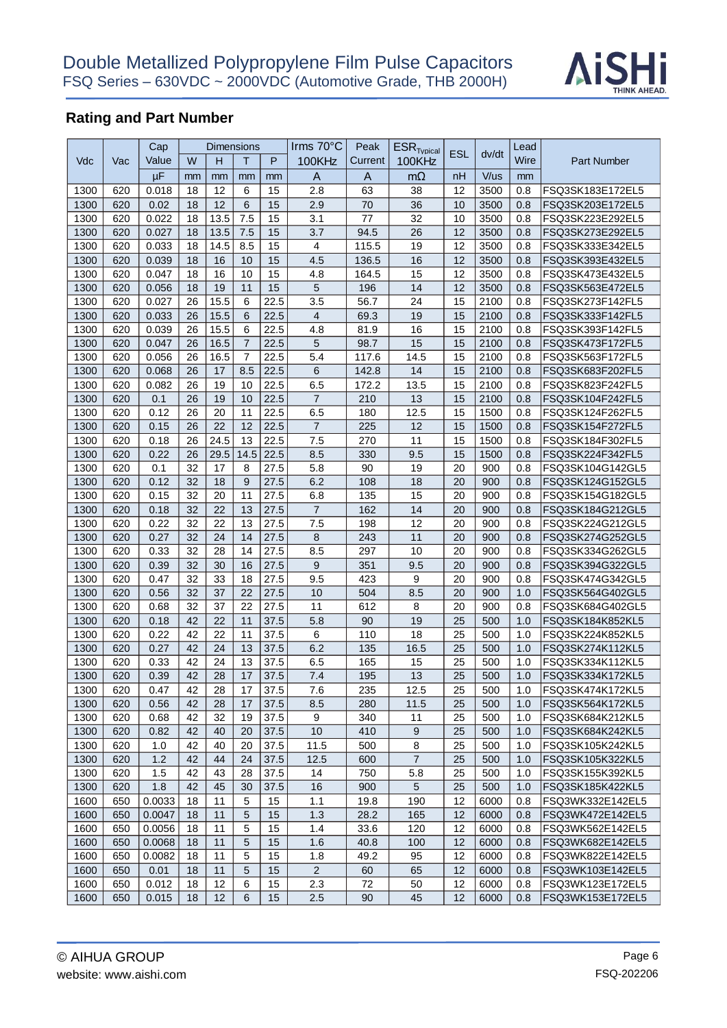

|      |     | Cap    |    | <b>Dimensions</b> |      |          | Irms 70°C               | Peak         | <b>ESR</b> <sub>Tvpical</sub> |            |       | Lead |                    |
|------|-----|--------|----|-------------------|------|----------|-------------------------|--------------|-------------------------------|------------|-------|------|--------------------|
| Vdc  | Vac | Value  | W  | н                 | т    | P        | 100KHz                  | Current      | 100KHz                        | <b>ESL</b> | dv/dt | Wire | <b>Part Number</b> |
|      |     | μF     | mm | mm                | mm   |          | $\overline{A}$          | $\mathsf{A}$ | $m\Omega$                     | nH         | V/us  | mm   |                    |
| 1300 | 620 | 0.018  | 18 | 12                | 6    | mm<br>15 | 2.8                     | 63           | 38                            | 12         | 3500  | 0.8  | FSQ3SK183E172EL5   |
| 1300 | 620 | 0.02   | 18 | 12                | 6    | 15       | 2.9                     | 70           | 36                            | 10         | 3500  | 0.8  | FSQ3SK203E172EL5   |
|      | 620 |        | 18 | 13.5              |      |          |                         | 77           |                               | 10         | 3500  |      |                    |
| 1300 |     | 0.022  |    |                   | 7.5  | 15       | 3.1<br>3.7              |              | 32                            | 12         |       | 0.8  | FSQ3SK223E292EL5   |
| 1300 | 620 | 0.027  | 18 | 13.5              | 7.5  | 15       |                         | 94.5         | 26                            |            | 3500  | 0.8  | FSQ3SK273E292EL5   |
| 1300 | 620 | 0.033  | 18 | 14.5              | 8.5  | 15       | $\overline{\mathbf{4}}$ | 115.5        | 19                            | 12         | 3500  | 0.8  | FSQ3SK333E342EL5   |
| 1300 | 620 | 0.039  | 18 | 16                | 10   | 15       | 4.5                     | 136.5        | 16                            | 12         | 3500  | 0.8  | FSQ3SK393E432EL5   |
| 1300 | 620 | 0.047  | 18 | 16                | 10   | 15       | 4.8                     | 164.5        | 15                            | 12         | 3500  | 0.8  | FSQ3SK473E432EL5   |
| 1300 | 620 | 0.056  | 18 | 19                | 11   | 15       | 5                       | 196          | 14                            | 12         | 3500  | 0.8  | FSQ3SK563E472EL5   |
| 1300 | 620 | 0.027  | 26 | 15.5              | 6    | 22.5     | 3.5                     | 56.7         | 24                            | 15         | 2100  | 0.8  | FSQ3SK273F142FL5   |
| 1300 | 620 | 0.033  | 26 | 15.5              | 6    | 22.5     | $\overline{\mathbf{4}}$ | 69.3         | 19                            | 15         | 2100  | 0.8  | FSQ3SK333F142FL5   |
| 1300 | 620 | 0.039  | 26 | 15.5              | 6    | 22.5     | 4.8                     | 81.9         | 16                            | 15         | 2100  | 0.8  | FSQ3SK393F142FL5   |
| 1300 | 620 | 0.047  | 26 | 16.5              | 7    | 22.5     | 5                       | 98.7         | 15                            | 15         | 2100  | 0.8  | FSQ3SK473F172FL5   |
| 1300 | 620 | 0.056  | 26 | 16.5              | 7    | 22.5     | 5.4                     | 117.6        | 14.5                          | 15         | 2100  | 0.8  | FSQ3SK563F172FL5   |
| 1300 | 620 | 0.068  | 26 | 17                | 8.5  | 22.5     | $\,$ 6                  | 142.8        | 14                            | 15         | 2100  | 0.8  | FSQ3SK683F202FL5   |
| 1300 | 620 | 0.082  | 26 | 19                | 10   | 22.5     | 6.5                     | 172.2        | 13.5                          | 15         | 2100  | 0.8  | FSQ3SK823F242FL5   |
| 1300 | 620 | 0.1    | 26 | 19                | 10   | 22.5     | $\overline{7}$          | 210          | 13                            | 15         | 2100  | 0.8  | FSQ3SK104F242FL5   |
| 1300 | 620 | 0.12   | 26 | 20                | 11   | 22.5     | 6.5                     | 180          | 12.5                          | 15         | 1500  | 0.8  | FSQ3SK124F262FL5   |
| 1300 | 620 | 0.15   | 26 | 22                | 12   | 22.5     | $\overline{7}$          | 225          | 12                            | 15         | 1500  | 0.8  | FSQ3SK154F272FL5   |
| 1300 | 620 | 0.18   | 26 | 24.5              | 13   | 22.5     | 7.5                     | 270          | 11                            | 15         | 1500  | 0.8  | FSQ3SK184F302FL5   |
| 1300 | 620 | 0.22   | 26 | 29.5              | 14.5 | 22.5     | 8.5                     | 330          | 9.5                           | 15         | 1500  | 0.8  | FSQ3SK224F342FL5   |
| 1300 | 620 | 0.1    | 32 | 17                | 8    | 27.5     | 5.8                     | 90           | 19                            | 20         | 900   | 0.8  | FSQ3SK104G142GL5   |
| 1300 | 620 | 0.12   | 32 | 18                | 9    | 27.5     | 6.2                     | 108          | 18                            | 20         | 900   | 0.8  | FSQ3SK124G152GL5   |
| 1300 | 620 | 0.15   | 32 | 20                | 11   | 27.5     | 6.8                     | 135          | 15                            | 20         | 900   | 0.8  | FSQ3SK154G182GL5   |
| 1300 | 620 | 0.18   | 32 | 22                | 13   | 27.5     | $\overline{7}$          | 162          | 14                            | 20         | 900   | 0.8  | FSQ3SK184G212GL5   |
| 1300 | 620 | 0.22   | 32 | 22                | 13   | 27.5     | 7.5                     | 198          | 12                            | 20         | 900   | 0.8  | FSQ3SK224G212GL5   |
| 1300 | 620 | 0.27   | 32 | 24                | 14   | 27.5     | 8                       | 243          | 11                            | 20         | 900   | 0.8  | FSQ3SK274G252GL5   |
| 1300 | 620 | 0.33   | 32 | 28                | 14   | 27.5     | 8.5                     | 297          | 10                            | 20         | 900   | 0.8  | FSQ3SK334G262GL5   |
| 1300 | 620 | 0.39   | 32 | 30                | 16   | 27.5     | 9                       | 351          | 9.5                           | 20         | 900   | 0.8  | FSQ3SK394G322GL5   |
| 1300 | 620 | 0.47   | 32 | 33                | 18   | 27.5     | 9.5                     | 423          | 9                             | 20         | 900   | 0.8  | FSQ3SK474G342GL5   |
| 1300 | 620 | 0.56   | 32 | 37                | 22   | 27.5     | 10                      | 504          | 8.5                           | 20         | 900   | 1.0  | FSQ3SK564G402GL5   |
| 1300 | 620 | 0.68   | 32 | 37                | 22   | 27.5     | 11                      | 612          | 8                             | 20         | 900   | 0.8  | FSQ3SK684G402GL5   |
| 1300 | 620 | 0.18   | 42 | 22                | 11   | 37.5     | 5.8                     | 90           | 19                            | 25         | 500   | 1.0  | FSQ3SK184K852KL5   |
| 1300 | 620 | 0.22   | 42 | 22                | 11   | 37.5     | 6                       | 110          | 18                            | 25         | 500   | 1.0  | FSQ3SK224K852KL5   |
| 1300 | 620 | 0.27   | 42 | 24                | 13   | 37.5     | 6.2                     | 135          | 16.5                          | 25         | 500   | 1.0  | FSQ3SK274K112KL5   |
| 1300 | 620 | 0.33   | 42 | 24                | 13   | 37.5     | 6.5                     | 165          | 15                            | 25         | 500   | 1.0  | FSQ3SK334K112KL5   |
| 1300 | 620 | 0.39   | 42 | 28                | 17   | 37.5     | 7.4                     | 195          | 13                            | 25         | 500   | 1.0  | FSQ3SK334K172KL5   |
| 1300 | 620 | 0.47   | 42 | 28                | 17   | 37.5     | 7.6                     | 235          | 12.5                          | 25         | 500   | 1.0  | FSQ3SK474K172KL5   |
| 1300 | 620 | 0.56   | 42 | 28                | 17   | 37.5     | 8.5                     | 280          | 11.5                          | 25         | 500   | 1.0  | FSQ3SK564K172KL5   |
| 1300 | 620 | 0.68   | 42 | 32                | 19   | 37.5     | 9                       | 340          | 11                            | 25         | 500   | 1.0  | FSQ3SK684K212KL5   |
| 1300 | 620 | 0.82   | 42 | 40                | 20   | 37.5     | 10                      | 410          | 9                             | 25         | 500   | 1.0  | FSQ3SK684K242KL5   |
| 1300 | 620 | 1.0    | 42 | 40                | 20   | 37.5     | 11.5                    | 500          | 8                             | 25         | 500   | 1.0  | FSQ3SK105K242KL5   |
| 1300 | 620 | 1.2    | 42 | 44                | 24   | 37.5     | 12.5                    | 600          | $\overline{7}$                | 25         | 500   | 1.0  | FSQ3SK105K322KL5   |
| 1300 | 620 | 1.5    | 42 | 43                | 28   | 37.5     | 14                      | 750          | 5.8                           | 25         | 500   | 1.0  | FSQ3SK155K392KL5   |
| 1300 | 620 | 1.8    | 42 | 45                | 30   | 37.5     | 16                      | 900          | 5                             | 25         | 500   | 1.0  | FSQ3SK185K422KL5   |
| 1600 | 650 | 0.0033 | 18 | 11                | 5    | 15       | 1.1                     | 19.8         | 190                           | 12         | 6000  | 0.8  | FSQ3WK332E142EL5   |
| 1600 | 650 | 0.0047 | 18 | 11                | 5    | 15       | 1.3                     | 28.2         | 165                           | 12         | 6000  | 0.8  | FSQ3WK472E142EL5   |
|      |     | 0.0056 | 18 | 11                | 5    | 15       |                         |              |                               | 12         |       |      | FSQ3WK562E142EL5   |
| 1600 | 650 |        |    |                   |      |          | 1.4                     | 33.6         | 120                           |            | 6000  | 0.8  |                    |
| 1600 | 650 | 0.0068 | 18 | 11                | 5    | 15       | 1.6                     | 40.8         | 100                           | 12         | 6000  | 0.8  | FSQ3WK682E142EL5   |
| 1600 | 650 | 0.0082 | 18 | 11                | 5    | 15       | 1.8                     | 49.2         | 95                            | 12         | 6000  | 0.8  | FSQ3WK822E142EL5   |
| 1600 | 650 | 0.01   | 18 | 11                | 5    | 15       | $\overline{2}$          | 60           | 65                            | 12         | 6000  | 0.8  | FSQ3WK103E142EL5   |
| 1600 | 650 | 0.012  | 18 | 12                | 6    | 15       | 2.3                     | 72           | 50                            | 12         | 6000  | 0.8  | FSQ3WK123E172EL5   |
| 1600 | 650 | 0.015  | 18 | 12                | 6    | 15       | 2.5                     | 90           | 45                            | 12         | 6000  | 0.8  | FSQ3WK153E172EL5   |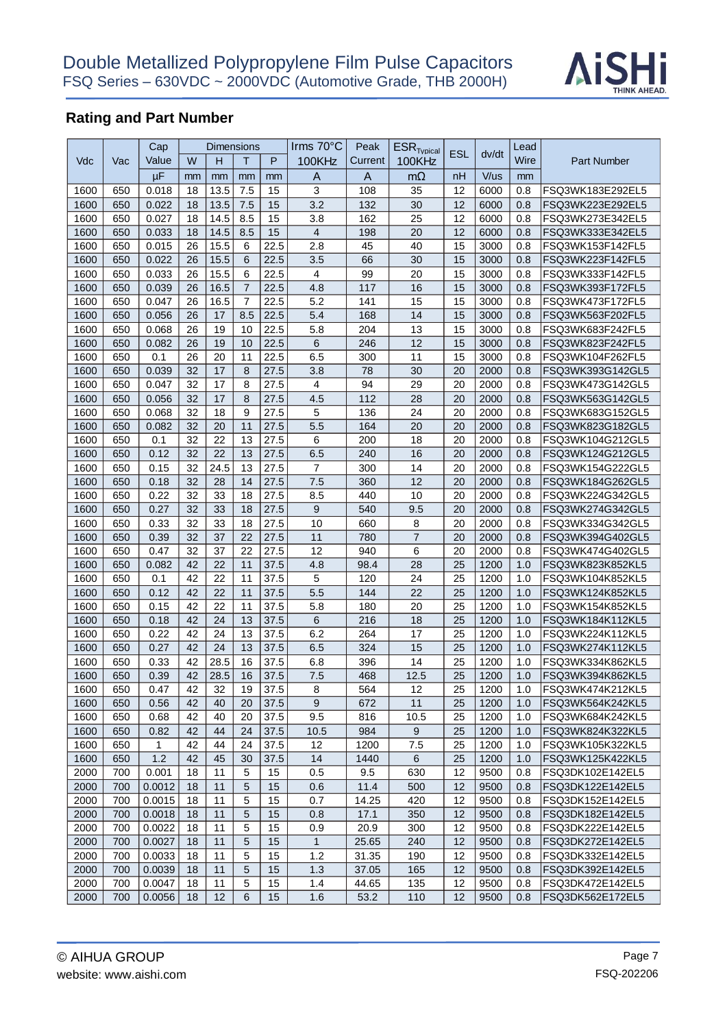

|      |     | Cap    |    | Dimensions |                |      | Irms $70^{\circ}$ C     | Peak    | $ESR$ <sub>Tvpical</sub> |            |       | Lead |                  |
|------|-----|--------|----|------------|----------------|------|-------------------------|---------|--------------------------|------------|-------|------|------------------|
| Vdc  | Vac | Value  | W  | н          | т              | P    | 100KHz                  | Current | <b>100KHz</b>            | <b>ESL</b> | dv/dt | Wire | Part Number      |
|      |     | μF     | mm | mm         | mm             | mm   | A                       | A       | $m\Omega$                | nH         | V/us  | mm   |                  |
| 1600 | 650 | 0.018  | 18 | 13.5       | 7.5            | 15   | 3                       | 108     | 35                       | 12         | 6000  | 0.8  | FSQ3WK183E292EL5 |
| 1600 | 650 | 0.022  | 18 | 13.5       | 7.5            | 15   | 3.2                     | 132     | 30                       | 12         | 6000  | 0.8  | FSQ3WK223E292EL5 |
| 1600 | 650 | 0.027  | 18 | 14.5       | 8.5            | 15   | 3.8                     | 162     | 25                       | 12         | 6000  | 0.8  | FSQ3WK273E342EL5 |
| 1600 | 650 | 0.033  | 18 | 14.5       | 8.5            | 15   | $\overline{4}$          | 198     | 20                       | 12         | 6000  | 0.8  | FSQ3WK333E342EL5 |
| 1600 | 650 | 0.015  | 26 | 15.5       | 6              | 22.5 | 2.8                     | 45      | 40                       | 15         | 3000  | 0.8  | FSQ3WK153F142FL5 |
| 1600 | 650 | 0.022  | 26 | 15.5       | 6              | 22.5 | 3.5                     | 66      | 30                       | 15         | 3000  | 0.8  | FSQ3WK223F142FL5 |
| 1600 | 650 | 0.033  | 26 | 15.5       | 6              | 22.5 | $\overline{\mathbf{4}}$ | 99      | 20                       | 15         | 3000  | 0.8  | FSQ3WK333F142FL5 |
| 1600 | 650 | 0.039  | 26 | 16.5       | $\overline{7}$ | 22.5 | 4.8                     | 117     | 16                       | 15         | 3000  | 0.8  | FSQ3WK393F172FL5 |
| 1600 | 650 | 0.047  | 26 | 16.5       | 7              | 22.5 | 5.2                     | 141     | 15                       | 15         | 3000  | 0.8  | FSQ3WK473F172FL5 |
| 1600 | 650 | 0.056  | 26 | 17         | 8.5            | 22.5 | 5.4                     | 168     | 14                       | 15         | 3000  | 0.8  | FSQ3WK563F202FL5 |
| 1600 | 650 | 0.068  | 26 | 19         | 10             | 22.5 | 5.8                     | 204     | 13                       | 15         | 3000  | 0.8  | FSQ3WK683F242FL5 |
| 1600 | 650 | 0.082  | 26 | 19         | 10             | 22.5 | 6                       | 246     | 12                       | 15         | 3000  | 0.8  | FSQ3WK823F242FL5 |
| 1600 | 650 | 0.1    | 26 | 20         | 11             | 22.5 | 6.5                     | 300     | 11                       | 15         | 3000  | 0.8  | FSQ3WK104F262FL5 |
| 1600 | 650 | 0.039  | 32 | 17         | 8              | 27.5 | 3.8                     | 78      | 30                       | 20         | 2000  | 0.8  | FSQ3WK393G142GL5 |
| 1600 | 650 | 0.047  | 32 | 17         | 8              | 27.5 | $\overline{4}$          | 94      | 29                       | 20         | 2000  | 0.8  | FSQ3WK473G142GL5 |
| 1600 | 650 | 0.056  | 32 | 17         | 8              | 27.5 | 4.5                     | 112     | 28                       | 20         | 2000  | 0.8  | FSQ3WK563G142GL5 |
| 1600 | 650 | 0.068  | 32 | 18         | 9              | 27.5 | 5                       | 136     | 24                       | 20         | 2000  | 0.8  | FSQ3WK683G152GL5 |
| 1600 | 650 | 0.082  | 32 | 20         | 11             | 27.5 | 5.5                     | 164     | 20                       | 20         | 2000  | 0.8  | FSQ3WK823G182GL5 |
| 1600 | 650 | 0.1    | 32 | 22         | 13             | 27.5 | 6                       | 200     | 18                       | 20         | 2000  | 0.8  | FSQ3WK104G212GL5 |
| 1600 | 650 | 0.12   | 32 | 22         | 13             | 27.5 | 6.5                     | 240     | 16                       | 20         | 2000  | 0.8  | FSQ3WK124G212GL5 |
| 1600 | 650 | 0.15   | 32 | 24.5       | 13             | 27.5 | $\overline{7}$          | 300     | 14                       | 20         | 2000  | 0.8  | FSQ3WK154G222GL5 |
| 1600 | 650 | 0.18   | 32 | 28         | 14             | 27.5 | 7.5                     | 360     | 12                       | 20         | 2000  | 0.8  | FSQ3WK184G262GL5 |
| 1600 | 650 | 0.22   | 32 | 33         | 18             | 27.5 | 8.5                     | 440     | 10                       | 20         | 2000  | 0.8  | FSQ3WK224G342GL5 |
| 1600 | 650 | 0.27   | 32 | 33         | 18             | 27.5 | 9                       | 540     | 9.5                      | 20         | 2000  | 0.8  | FSQ3WK274G342GL5 |
| 1600 | 650 | 0.33   | 32 | 33         | 18             | 27.5 | 10                      | 660     | 8                        | 20         | 2000  | 0.8  | FSQ3WK334G342GL5 |
| 1600 | 650 | 0.39   | 32 | 37         | 22             | 27.5 | 11                      | 780     | $\overline{7}$           | 20         | 2000  | 0.8  | FSQ3WK394G402GL5 |
| 1600 | 650 | 0.47   | 32 | 37         | 22             | 27.5 | 12                      | 940     | 6                        | 20         | 2000  | 0.8  | FSQ3WK474G402GL5 |
| 1600 | 650 | 0.082  | 42 | 22         | 11             | 37.5 | 4.8                     | 98.4    | 28                       | 25         | 1200  | 1.0  | FSQ3WK823K852KL5 |
| 1600 | 650 | 0.1    | 42 | 22         | 11             | 37.5 | 5                       | 120     | 24                       | 25         | 1200  | 1.0  | FSQ3WK104K852KL5 |
| 1600 | 650 | 0.12   | 42 | 22         | 11             | 37.5 | 5.5                     | 144     | 22                       | 25         | 1200  | 1.0  | FSQ3WK124K852KL5 |
| 1600 | 650 | 0.15   | 42 | 22         | 11             | 37.5 | 5.8                     | 180     | 20                       | 25         | 1200  | 1.0  | FSQ3WK154K852KL5 |
| 1600 | 650 | 0.18   | 42 | 24         | 13             | 37.5 | 6                       | 216     | 18                       | 25         | 1200  | 1.0  | FSQ3WK184K112KL5 |
| 1600 | 650 | 0.22   | 42 | 24         | 13             | 37.5 | 6.2                     | 264     | 17                       | 25         | 1200  | 1.0  | FSQ3WK224K112KL5 |
| 1600 | 650 | 0.27   | 42 | 24         | 13             | 37.5 | 6.5                     | 324     | 15                       | 25         | 1200  | 1.0  | FSQ3WK274K112KL5 |
| 1600 | 650 | 0.33   | 42 | 28.5       | 16             | 37.5 | 6.8                     | 396     | 14                       | 25         | 1200  | 1.0  | FSQ3WK334K862KL5 |
| 1600 | 650 | 0.39   | 42 | 28.5       | 16             | 37.5 | 7.5                     | 468     | 12.5                     | 25         | 1200  | 1.0  | FSQ3WK394K862KL5 |
| 1600 | 650 | 0.47   | 42 | 32         | 19             | 37.5 | 8                       | 564     | 12                       | 25         | 1200  | 1.0  | FSQ3WK474K212KL5 |
| 1600 | 650 | 0.56   | 42 | 40         | 20             | 37.5 | $9\,$                   | 672     | 11                       | 25         | 1200  | 1.0  | FSQ3WK564K242KL5 |
| 1600 | 650 | 0.68   | 42 | 40         | 20             | 37.5 | 9.5                     | 816     | 10.5                     | 25         | 1200  | 1.0  | FSQ3WK684K242KL5 |
| 1600 | 650 | 0.82   | 42 | 44         | 24             | 37.5 | 10.5                    | 984     | 9                        | 25         | 1200  | 1.0  | FSQ3WK824K322KL5 |
| 1600 | 650 | 1      | 42 | 44         | 24             | 37.5 | 12                      | 1200    | 7.5                      | 25         | 1200  | 1.0  | FSQ3WK105K322KL5 |
| 1600 | 650 | $1.2$  | 42 | 45         | 30             | 37.5 | 14                      | 1440    | 6                        | 25         | 1200  | 1.0  | FSQ3WK125K422KL5 |
| 2000 | 700 | 0.001  | 18 | 11         | 5              | 15   | 0.5                     | 9.5     | 630                      | 12         | 9500  | 0.8  | FSQ3DK102E142EL5 |
| 2000 | 700 | 0.0012 | 18 | 11         | 5              | 15   | 0.6                     | 11.4    | 500                      | 12         | 9500  | 0.8  | FSQ3DK122E142EL5 |
| 2000 | 700 | 0.0015 | 18 | 11         | 5              | 15   | 0.7                     | 14.25   | 420                      | 12         | 9500  | 0.8  | FSQ3DK152E142EL5 |
| 2000 | 700 | 0.0018 | 18 | 11         | 5              | 15   | 0.8                     | 17.1    | 350                      | 12         | 9500  | 0.8  | FSQ3DK182E142EL5 |
| 2000 | 700 | 0.0022 | 18 | 11         | 5              | 15   | 0.9                     | 20.9    | 300                      | 12         | 9500  | 0.8  | FSQ3DK222E142EL5 |
| 2000 | 700 | 0.0027 | 18 | 11         | 5              | 15   | $\mathbf{1}$            | 25.65   | 240                      | 12         | 9500  | 0.8  | FSQ3DK272E142EL5 |
| 2000 | 700 | 0.0033 | 18 | 11         | 5              | 15   | 1.2                     | 31.35   | 190                      | 12         | 9500  | 0.8  | FSQ3DK332E142EL5 |
| 2000 | 700 | 0.0039 | 18 | 11         | 5              | 15   | 1.3                     | 37.05   | 165                      | 12         | 9500  | 0.8  | FSQ3DK392E142EL5 |
| 2000 | 700 | 0.0047 | 18 | 11         | 5              | 15   | 1.4                     | 44.65   | 135                      | 12         | 9500  | 0.8  | FSQ3DK472E142EL5 |
| 2000 | 700 | 0.0056 | 18 | 12         | 6              | 15   | 1.6                     | 53.2    | 110                      | 12         | 9500  | 0.8  | FSQ3DK562E172EL5 |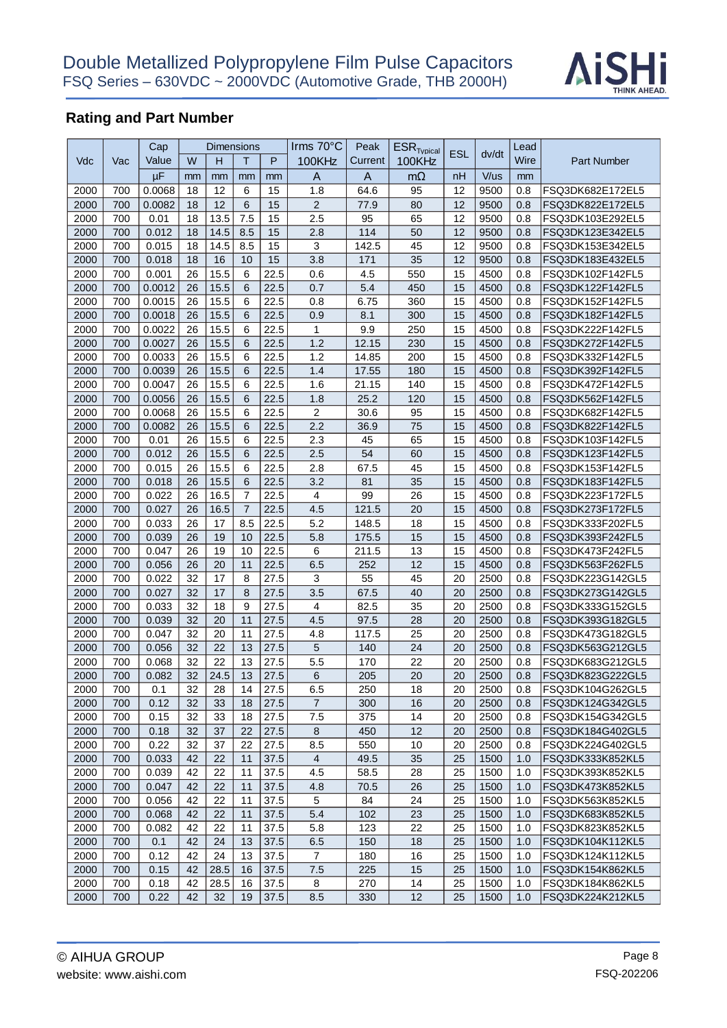

|      |     | Cap    |    | <b>Dimensions</b> |                |      | Irms $70^{\circ}$ C     | Peak    | $ESR$ <sub>Tvpical</sub> |            |       | Lead |                    |
|------|-----|--------|----|-------------------|----------------|------|-------------------------|---------|--------------------------|------------|-------|------|--------------------|
| Vdc  | Vac | Value  | W  | н                 | т              | P    | 100KHz                  | Current | 100KHz                   | <b>ESL</b> | dv/dt | Wire | <b>Part Number</b> |
|      |     | μF     | mm | mm                | mm             | mm   | A                       | A       | $m\Omega$                | nH         | V/us  | mm   |                    |
| 2000 | 700 | 0.0068 | 18 | 12                | 6              | 15   | 1.8                     | 64.6    | 95                       | 12         | 9500  | 0.8  | FSQ3DK682E172EL5   |
| 2000 | 700 | 0.0082 | 18 | 12                | 6              | 15   | $\overline{2}$          | 77.9    | 80                       | 12         | 9500  | 0.8  | FSQ3DK822E172EL5   |
| 2000 | 700 | 0.01   | 18 | 13.5              | 7.5            | 15   | 2.5                     | 95      | 65                       | 12         | 9500  | 0.8  | FSQ3DK103E292EL5   |
| 2000 | 700 | 0.012  | 18 | 14.5              | 8.5            | 15   | 2.8                     | 114     | 50                       | 12         | 9500  | 0.8  | FSQ3DK123E342EL5   |
| 2000 | 700 | 0.015  | 18 | 14.5              | 8.5            | 15   | $\mathbf{3}$            | 142.5   | 45                       | 12         | 9500  | 0.8  | FSQ3DK153E342EL5   |
| 2000 | 700 | 0.018  | 18 | 16                | 10             | 15   | 3.8                     | 171     | 35                       | 12         | 9500  | 0.8  | FSQ3DK183E432EL5   |
| 2000 | 700 | 0.001  | 26 | 15.5              | 6              | 22.5 | 0.6                     | 4.5     | 550                      | 15         | 4500  | 0.8  | FSQ3DK102F142FL5   |
| 2000 | 700 | 0.0012 | 26 | 15.5              | 6              | 22.5 | 0.7                     | 5.4     | 450                      | 15         | 4500  | 0.8  | FSQ3DK122F142FL5   |
| 2000 | 700 | 0.0015 | 26 | 15.5              | 6              | 22.5 | 0.8                     | 6.75    | 360                      | 15         | 4500  | 0.8  | FSQ3DK152F142FL5   |
| 2000 | 700 | 0.0018 | 26 | 15.5              | 6              | 22.5 | 0.9                     | 8.1     | 300                      | 15         | 4500  | 0.8  | FSQ3DK182F142FL5   |
| 2000 | 700 | 0.0022 | 26 | 15.5              | 6              | 22.5 | 1                       | 9.9     | 250                      | 15         | 4500  | 0.8  | FSQ3DK222F142FL5   |
| 2000 | 700 | 0.0027 | 26 | 15.5              | 6              | 22.5 | 1.2                     | 12.15   | 230                      | 15         | 4500  | 0.8  | FSQ3DK272F142FL5   |
| 2000 | 700 | 0.0033 | 26 | 15.5              | 6              | 22.5 | 1.2                     | 14.85   | 200                      | 15         | 4500  | 0.8  | FSQ3DK332F142FL5   |
| 2000 | 700 | 0.0039 | 26 | 15.5              | 6              | 22.5 | 1.4                     | 17.55   | 180                      | 15         | 4500  | 0.8  | FSQ3DK392F142FL5   |
| 2000 | 700 | 0.0047 | 26 | 15.5              | 6              | 22.5 | 1.6                     | 21.15   | 140                      | 15         | 4500  | 0.8  | FSQ3DK472F142FL5   |
| 2000 | 700 | 0.0056 | 26 | 15.5              | 6              | 22.5 | 1.8                     | 25.2    | 120                      | 15         | 4500  | 0.8  | FSQ3DK562F142FL5   |
| 2000 | 700 | 0.0068 | 26 | 15.5              | 6              | 22.5 | $\overline{2}$          | 30.6    | 95                       | 15         | 4500  | 0.8  | FSQ3DK682F142FL5   |
| 2000 | 700 | 0.0082 | 26 | 15.5              | 6              | 22.5 | 2.2                     | 36.9    | 75                       | 15         | 4500  | 0.8  | FSQ3DK822F142FL5   |
| 2000 | 700 | 0.01   | 26 | 15.5              | 6              | 22.5 | 2.3                     | 45      | 65                       | 15         | 4500  | 0.8  | FSQ3DK103F142FL5   |
| 2000 | 700 | 0.012  | 26 | 15.5              | 6              | 22.5 | 2.5                     | 54      | 60                       | 15         | 4500  | 0.8  | FSQ3DK123F142FL5   |
| 2000 | 700 | 0.015  | 26 | 15.5              | 6              | 22.5 | 2.8                     | 67.5    | 45                       | 15         | 4500  | 0.8  | FSQ3DK153F142FL5   |
| 2000 | 700 | 0.018  | 26 | 15.5              | 6              | 22.5 | 3.2                     | 81      | 35                       | 15         | 4500  | 0.8  | FSQ3DK183F142FL5   |
| 2000 | 700 | 0.022  | 26 | 16.5              | 7              | 22.5 | $\overline{\mathbf{4}}$ | 99      | 26                       | 15         | 4500  | 0.8  | FSQ3DK223F172FL5   |
| 2000 | 700 | 0.027  | 26 | 16.5              | $\overline{7}$ | 22.5 | 4.5                     | 121.5   | 20                       | 15         | 4500  | 0.8  | FSQ3DK273F172FL5   |
| 2000 | 700 | 0.033  | 26 | 17                | 8.5            | 22.5 | 5.2                     | 148.5   | 18                       | 15         | 4500  | 0.8  | FSQ3DK333F202FL5   |
| 2000 | 700 | 0.039  | 26 | 19                | 10             | 22.5 | 5.8                     | 175.5   | 15                       | 15         | 4500  | 0.8  | FSQ3DK393F242FL5   |
| 2000 | 700 | 0.047  | 26 | 19                | 10             | 22.5 | 6                       | 211.5   | 13                       | 15         | 4500  | 0.8  | FSQ3DK473F242FL5   |
| 2000 | 700 | 0.056  | 26 | 20                | 11             | 22.5 | 6.5                     | 252     | 12                       | 15         | 4500  | 0.8  | FSQ3DK563F262FL5   |
| 2000 | 700 | 0.022  | 32 | 17                | 8              | 27.5 | 3                       | 55      | 45                       | 20         | 2500  | 0.8  | FSQ3DK223G142GL5   |
| 2000 | 700 | 0.027  | 32 | 17                | 8              | 27.5 | 3.5                     | 67.5    | 40                       | 20         | 2500  | 0.8  | FSQ3DK273G142GL5   |
| 2000 | 700 | 0.033  | 32 | 18                | 9              | 27.5 | $\overline{4}$          | 82.5    | 35                       | 20         | 2500  | 0.8  | FSQ3DK333G152GL5   |
| 2000 | 700 | 0.039  | 32 | 20                | 11             | 27.5 | 4.5                     | 97.5    | 28                       | 20         | 2500  | 0.8  | FSQ3DK393G182GL5   |
| 2000 | 700 | 0.047  | 32 | 20                | 11             | 27.5 | 4.8                     | 117.5   | 25                       | 20         | 2500  | 0.8  | FSQ3DK473G182GL5   |
| 2000 | 700 | 0.056  | 32 | 22                | 13             | 27.5 | 5                       | 140     | 24                       | 20         | 2500  | 0.8  | FSQ3DK563G212GL5   |
| 2000 | 700 | 0.068  | 32 | 22                | 13             | 27.5 | 5.5                     | 170     | 22                       | 20         | 2500  | 0.8  | FSQ3DK683G212GL5   |
| 2000 | 700 | 0.082  | 32 | 24.5              | 13             | 27.5 | 6                       | 205     | 20                       | 20         | 2500  | 0.8  | FSQ3DK823G222GL5   |
| 2000 | 700 | 0.1    | 32 | 28                | 14             | 27.5 | 6.5                     | 250     | 18                       | 20         | 2500  | 0.8  | FSQ3DK104G262GL5   |
| 2000 | 700 | 0.12   | 32 | 33                | 18             | 27.5 | $\overline{7}$          | 300     | 16                       | 20         | 2500  | 0.8  | FSQ3DK124G342GL5   |
| 2000 | 700 | 0.15   | 32 | 33                | 18             | 27.5 | 7.5                     | 375     | 14                       | 20         | 2500  | 0.8  | FSQ3DK154G342GL5   |
| 2000 | 700 | 0.18   | 32 | 37                | 22             | 27.5 | $\bf 8$                 | 450     | 12                       | 20         | 2500  | 0.8  | FSQ3DK184G402GL5   |
| 2000 | 700 | 0.22   | 32 | 37                | 22             | 27.5 | 8.5                     | 550     | 10                       | 20         | 2500  | 0.8  | FSQ3DK224G402GL5   |
| 2000 | 700 | 0.033  | 42 | 22                | 11             | 37.5 | $\overline{4}$          | 49.5    | 35                       | 25         | 1500  | 1.0  | FSQ3DK333K852KL5   |
| 2000 | 700 | 0.039  | 42 | 22                | 11             | 37.5 | 4.5                     | 58.5    | 28                       | 25         | 1500  | 1.0  | FSQ3DK393K852KL5   |
| 2000 | 700 | 0.047  | 42 | 22                | 11             | 37.5 | 4.8                     | 70.5    | 26                       | 25         | 1500  | 1.0  | FSQ3DK473K852KL5   |
| 2000 | 700 | 0.056  | 42 | 22                | 11             | 37.5 | 5                       | 84      | 24                       | 25         | 1500  | 1.0  | FSQ3DK563K852KL5   |
| 2000 | 700 | 0.068  | 42 | 22                | 11             | 37.5 | 5.4                     | 102     | 23                       | 25         | 1500  | 1.0  | FSQ3DK683K852KL5   |
| 2000 | 700 | 0.082  | 42 | 22                | 11             | 37.5 | 5.8                     | 123     | 22                       | 25         | 1500  | 1.0  | FSQ3DK823K852KL5   |
| 2000 | 700 | 0.1    | 42 | 24                | 13             | 37.5 | 6.5                     | 150     | 18                       | 25         | 1500  | 1.0  | FSQ3DK104K112KL5   |
| 2000 | 700 | 0.12   | 42 | 24                | 13             | 37.5 | $\overline{7}$          | 180     | 16                       | 25         | 1500  | 1.0  | FSQ3DK124K112KL5   |
| 2000 | 700 | 0.15   | 42 | 28.5              | 16             | 37.5 | 7.5                     | 225     | 15                       | 25         | 1500  | 1.0  | FSQ3DK154K862KL5   |
| 2000 | 700 | 0.18   | 42 | 28.5              | 16             | 37.5 | 8                       | 270     | 14                       | 25         | 1500  | 1.0  | FSQ3DK184K862KL5   |
| 2000 | 700 | 0.22   | 42 | 32                | 19             | 37.5 | 8.5                     | 330     | 12                       | 25         | 1500  | 1.0  | FSQ3DK224K212KL5   |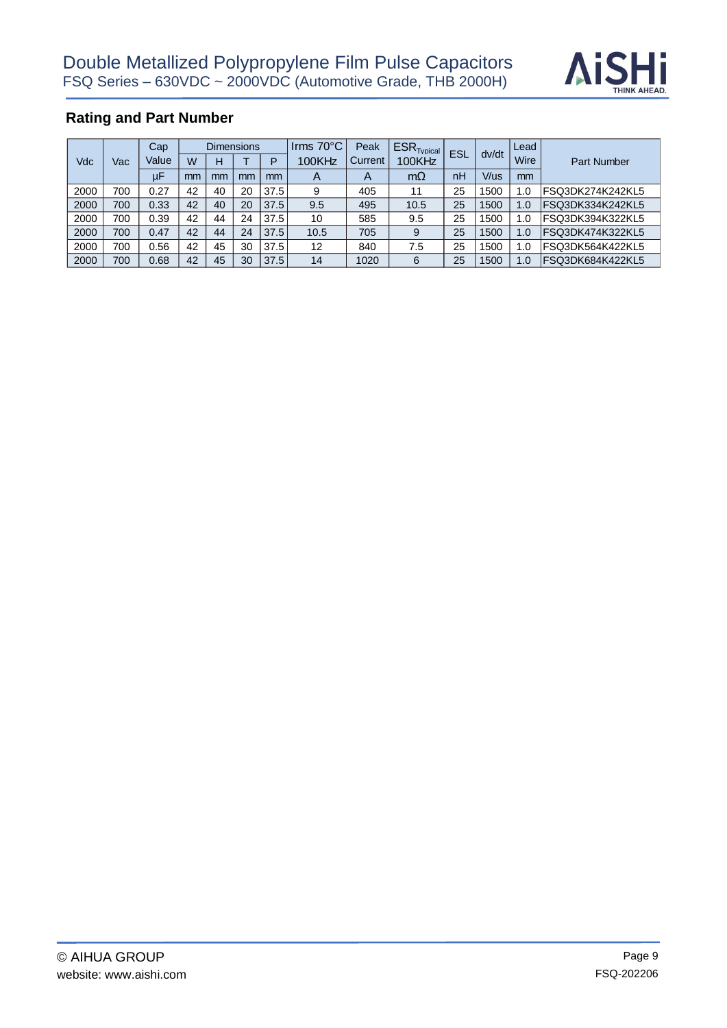

|      |     | Cap     | Dimensions |    |    | Irms $70^{\circ}$ C | Peak         | $ESR$ <sub>Tvpical</sub> |           |            | Lead  |                  |                    |
|------|-----|---------|------------|----|----|---------------------|--------------|--------------------------|-----------|------------|-------|------------------|--------------------|
| Vdc  | Vac | Value   | W          | н  |    | Þ                   | 100KHz       | Current                  | 100KHz    | <b>ESL</b> | dv/dt | Wire             | <b>Part Number</b> |
|      |     | $\mu$ F | mm         | mm | mm | mm                  | $\mathsf{A}$ | A                        | $m\Omega$ | nH         | V/us  | mm               |                    |
| 2000 | 700 | 0.27    | 42         | 40 | 20 | 37.5                | 9            | 405                      | 11        | 25         | 1500  | $\overline{0}$ . | lFSQ3DK274K242KL5  |
| 2000 | 700 | 0.33    | 42         | 40 | 20 | 37.5                | 9.5          | 495                      | 10.5      | 25         | 1500  | 1.0              | FSQ3DK334K242KL5   |
| 2000 | 700 | 0.39    | 42         | 44 | 24 | 37.5                | 10           | 585                      | 9.5       | 25         | 1500  | 1.0              | FSQ3DK394K322KL5   |
| 2000 | 700 | 0.47    | 42         | 44 | 24 | 37.5                | 10.5         | 705                      | 9         | 25         | 1500  | 1.0              | FSQ3DK474K322KL5   |
| 2000 | 700 | 0.56    | 42         | 45 | 30 | 37.5                | 12           | 840                      | 7.5       | 25         | 1500  | 1.0              | IFSQ3DK564K422KL5  |
| 2000 | 700 | 0.68    | 42         | 45 | 30 | 37.5                | 14           | 1020                     | 6         | 25         | 1500  | 1.0              | FSQ3DK684K422KL5   |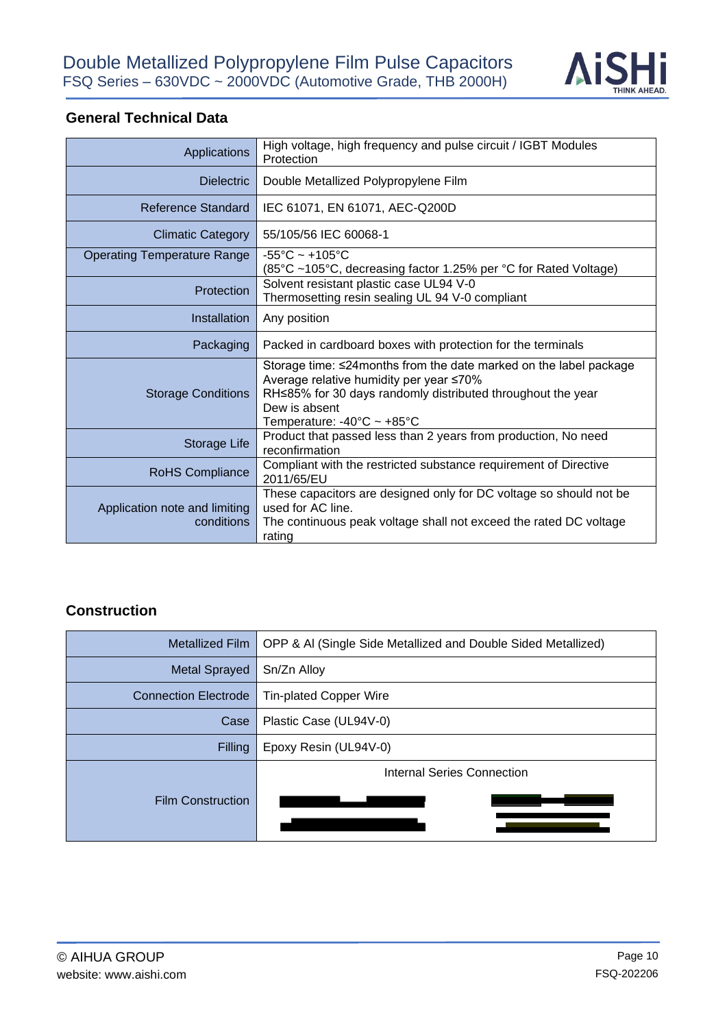

# **General Technical Data**

| Applications                                | High voltage, high frequency and pulse circuit / IGBT Modules<br>Protection                                                                                                                                                                     |  |  |  |
|---------------------------------------------|-------------------------------------------------------------------------------------------------------------------------------------------------------------------------------------------------------------------------------------------------|--|--|--|
| <b>Dielectric</b>                           | Double Metallized Polypropylene Film                                                                                                                                                                                                            |  |  |  |
| <b>Reference Standard</b>                   | IEC 61071, EN 61071, AEC-Q200D                                                                                                                                                                                                                  |  |  |  |
| <b>Climatic Category</b>                    | 55/105/56 IEC 60068-1                                                                                                                                                                                                                           |  |  |  |
| <b>Operating Temperature Range</b>          | $-55^{\circ}$ C ~ +105 $^{\circ}$ C<br>(85°C ~105°C, decreasing factor 1.25% per °C for Rated Voltage)                                                                                                                                          |  |  |  |
| Protection                                  | Solvent resistant plastic case UL94 V-0<br>Thermosetting resin sealing UL 94 V-0 compliant                                                                                                                                                      |  |  |  |
| Installation                                | Any position                                                                                                                                                                                                                                    |  |  |  |
| Packaging                                   | Packed in cardboard boxes with protection for the terminals                                                                                                                                                                                     |  |  |  |
| <b>Storage Conditions</b>                   | Storage time: ≤24 months from the date marked on the label package<br>Average relative humidity per year ≤70%<br>RH≤85% for 30 days randomly distributed throughout the year<br>Dew is absent<br>Temperature: $-40^{\circ}$ C ~ $+85^{\circ}$ C |  |  |  |
| Storage Life                                | Product that passed less than 2 years from production, No need<br>reconfirmation                                                                                                                                                                |  |  |  |
| RoHS Compliance                             | Compliant with the restricted substance requirement of Directive<br>2011/65/EU                                                                                                                                                                  |  |  |  |
| Application note and limiting<br>conditions | These capacitors are designed only for DC voltage so should not be<br>used for AC line.<br>The continuous peak voltage shall not exceed the rated DC voltage<br>rating                                                                          |  |  |  |

#### **Construction**

| <b>Metallized Film</b>      | OPP & AI (Single Side Metallized and Double Sided Metallized) |  |  |  |
|-----------------------------|---------------------------------------------------------------|--|--|--|
| <b>Metal Sprayed</b>        | Sn/Zn Alloy                                                   |  |  |  |
| <b>Connection Electrode</b> | <b>Tin-plated Copper Wire</b>                                 |  |  |  |
| Case                        | Plastic Case (UL94V-0)                                        |  |  |  |
| <b>Filling</b>              | Epoxy Resin (UL94V-0)                                         |  |  |  |
|                             | Internal Series Connection                                    |  |  |  |
| <b>Film Construction</b>    |                                                               |  |  |  |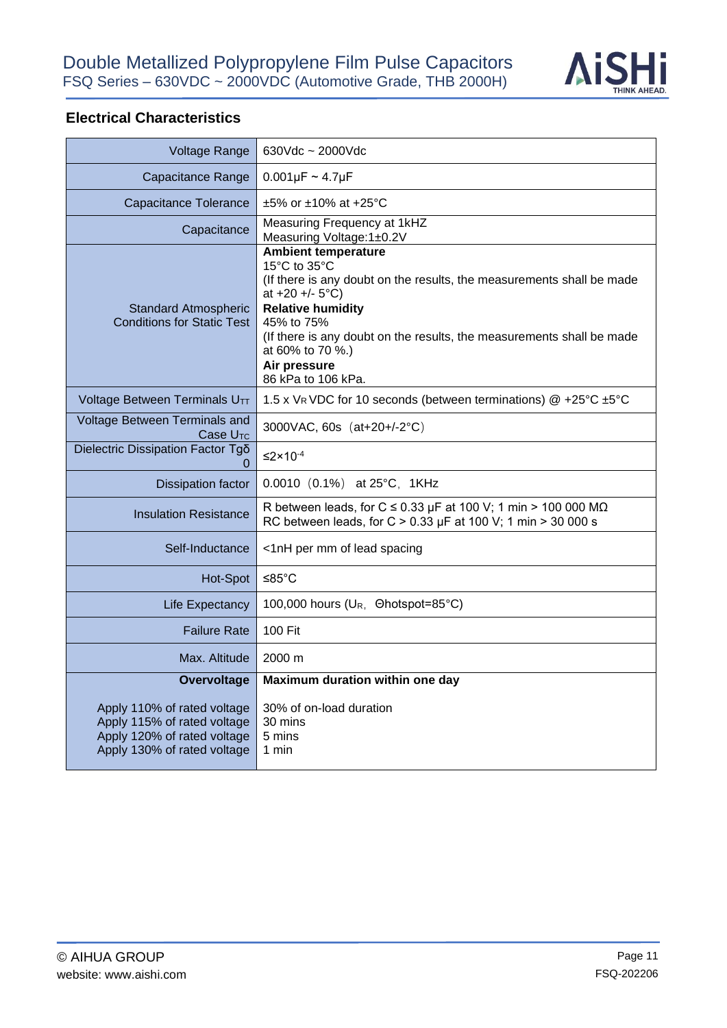

# **Electrical Characteristics**

| <b>Voltage Range</b>                                                                                                     | $630Vdc \sim 2000Vdc$                                                                                                                                                                                                                                                                                                   |  |  |  |
|--------------------------------------------------------------------------------------------------------------------------|-------------------------------------------------------------------------------------------------------------------------------------------------------------------------------------------------------------------------------------------------------------------------------------------------------------------------|--|--|--|
|                                                                                                                          |                                                                                                                                                                                                                                                                                                                         |  |  |  |
| Capacitance Range                                                                                                        | $0.001 \mu F \sim 4.7 \mu F$                                                                                                                                                                                                                                                                                            |  |  |  |
| <b>Capacitance Tolerance</b>                                                                                             | $\pm 5\%$ or $\pm 10\%$ at $+25\degree$ C                                                                                                                                                                                                                                                                               |  |  |  |
| Capacitance                                                                                                              | Measuring Frequency at 1kHZ<br>Measuring Voltage:1±0.2V                                                                                                                                                                                                                                                                 |  |  |  |
| <b>Standard Atmospheric</b><br><b>Conditions for Static Test</b>                                                         | <b>Ambient temperature</b><br>15°C to 35°C<br>(If there is any doubt on the results, the measurements shall be made<br>at $+20 + (-5)$ °C)<br><b>Relative humidity</b><br>45% to 75%<br>(If there is any doubt on the results, the measurements shall be made<br>at 60% to 70 %.)<br>Air pressure<br>86 kPa to 106 kPa. |  |  |  |
| Voltage Between Terminals UTT                                                                                            | 1.5 x VR VDC for 10 seconds (between terminations) @ +25°C ±5°C                                                                                                                                                                                                                                                         |  |  |  |
| Voltage Between Terminals and<br>Case U <sub>TC</sub>                                                                    | 3000VAC, 60s (at+20+/-2°C)                                                                                                                                                                                                                                                                                              |  |  |  |
| Dielectric Dissipation Factor Tgo                                                                                        | $\leq$ 2×10 <sup>-4</sup>                                                                                                                                                                                                                                                                                               |  |  |  |
| <b>Dissipation factor</b>                                                                                                | 0.0010 (0.1%) at 25°C, 1KHz                                                                                                                                                                                                                                                                                             |  |  |  |
| <b>Insulation Resistance</b>                                                                                             | R between leads, for C $\leq$ 0.33 µF at 100 V; 1 min > 100 000 M $\Omega$<br>RC between leads, for C > 0.33 $\mu$ F at 100 V; 1 min > 30 000 s                                                                                                                                                                         |  |  |  |
| Self-Inductance                                                                                                          | <1nH per mm of lead spacing                                                                                                                                                                                                                                                                                             |  |  |  |
| Hot-Spot                                                                                                                 | ≤85 $°C$                                                                                                                                                                                                                                                                                                                |  |  |  |
| <b>Life Expectancy</b>                                                                                                   | 100,000 hours (U <sub>R</sub> , Ohotspot=85°C)                                                                                                                                                                                                                                                                          |  |  |  |
| <b>Failure Rate</b>                                                                                                      | 100 Fit                                                                                                                                                                                                                                                                                                                 |  |  |  |
| Max. Altitude                                                                                                            | 2000 m                                                                                                                                                                                                                                                                                                                  |  |  |  |
| Overvoltage                                                                                                              | Maximum duration within one day                                                                                                                                                                                                                                                                                         |  |  |  |
| Apply 110% of rated voltage<br>Apply 115% of rated voltage<br>Apply 120% of rated voltage<br>Apply 130% of rated voltage | 30% of on-load duration<br>30 mins<br>5 mins<br>1 min                                                                                                                                                                                                                                                                   |  |  |  |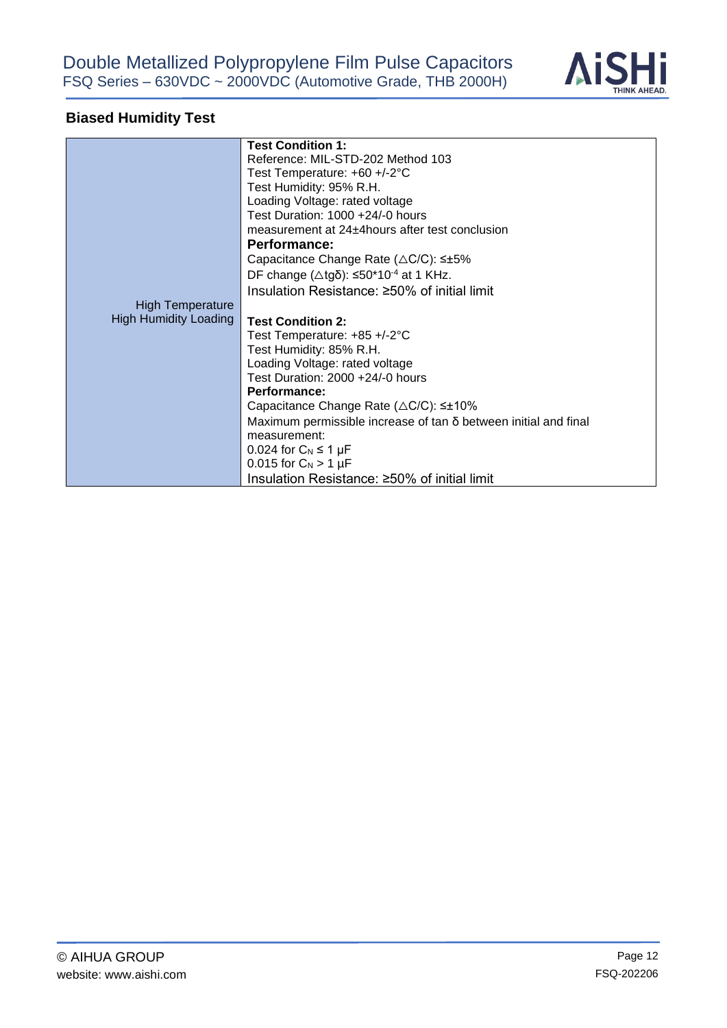

# **Biased Humidity Test**

|                              | <b>Test Condition 1:</b>                                               |
|------------------------------|------------------------------------------------------------------------|
|                              | Reference: MIL-STD-202 Method 103                                      |
|                              | Test Temperature: +60 +/-2°C                                           |
|                              | Test Humidity: 95% R.H.                                                |
|                              | Loading Voltage: rated voltage                                         |
|                              | Test Duration: 1000 +24/-0 hours                                       |
|                              | measurement at 24±4 hours after test conclusion                        |
|                              | <b>Performance:</b>                                                    |
|                              | Capacitance Change Rate (△C/C): ≤±5%                                   |
|                              | DF change ( $\triangle$ tgδ): ≤50*10 <sup>-4</sup> at 1 KHz.           |
|                              |                                                                        |
|                              | Insulation Resistance: ≥50% of initial limit                           |
| <b>High Temperature</b>      |                                                                        |
| <b>High Humidity Loading</b> | <b>Test Condition 2:</b>                                               |
|                              | Test Temperature: $+85 + (-2)$ °C                                      |
|                              | Test Humidity: 85% R.H.                                                |
|                              | Loading Voltage: rated voltage                                         |
|                              | Test Duration: 2000 +24/-0 hours                                       |
|                              | Performance:                                                           |
|                              | Capacitance Change Rate $(\triangle C/C)$ : $\leq \pm 10\%$            |
|                              | Maximum permissible increase of $tan \delta$ between initial and final |
|                              | measurement:                                                           |
|                              | $0.024$ for $C_N \leq 1 \mu F$                                         |
|                              | 0.015 for $C_N > 1 \mu F$                                              |
|                              | Insulation Resistance: ≥50% of initial limit                           |
|                              |                                                                        |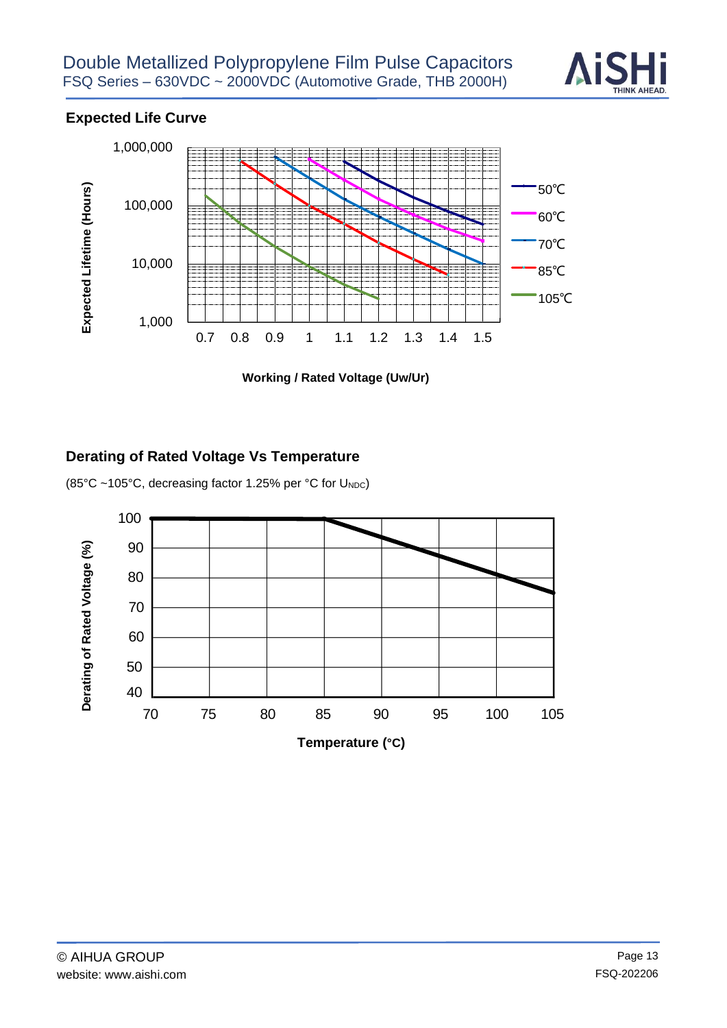

# **Expected Life Curve**



 **Working / Rated Voltage (Uw/Ur)** 

#### **Derating of Rated Voltage Vs Temperature**

(85°C ~105°C, decreasing factor 1.25% per °C for UNDC)

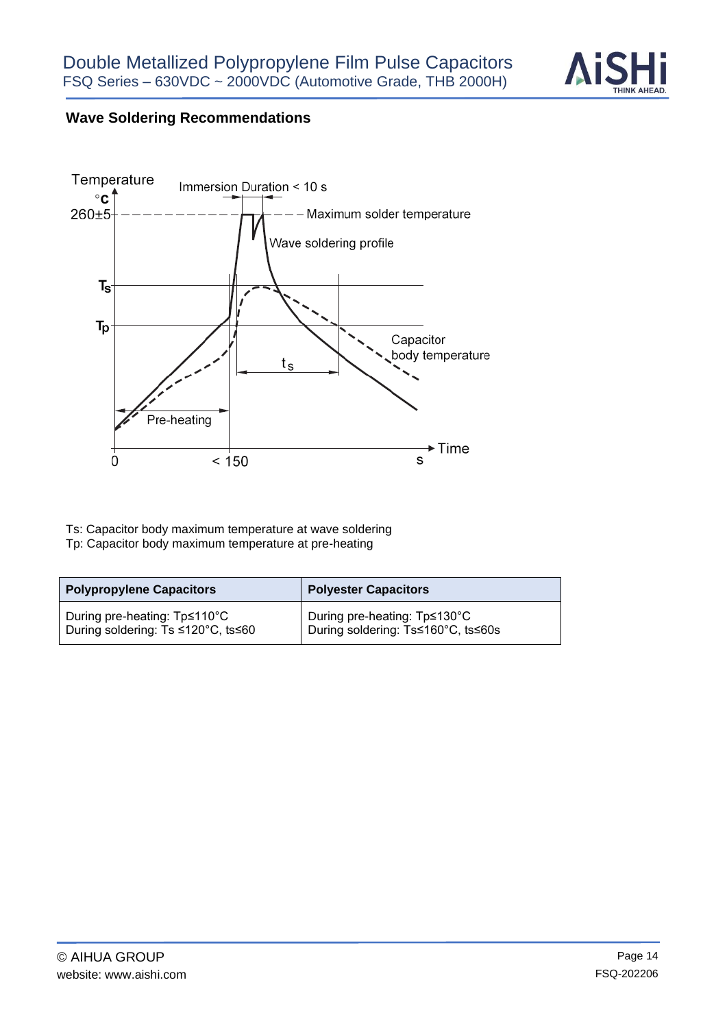

# **Wave Soldering Recommendations**



Ts: Capacitor body maximum temperature at wave soldering Tp: Capacitor body maximum temperature at pre-heating

| <b>Polypropylene Capacitors</b>    | <b>Polyester Capacitors</b>        |  |  |  |
|------------------------------------|------------------------------------|--|--|--|
| During pre-heating: Tp≤110°C       | During pre-heating: Tp≤130°C       |  |  |  |
| During soldering: Ts ≤120°C, ts≤60 | During soldering: Ts≤160°C, ts≤60s |  |  |  |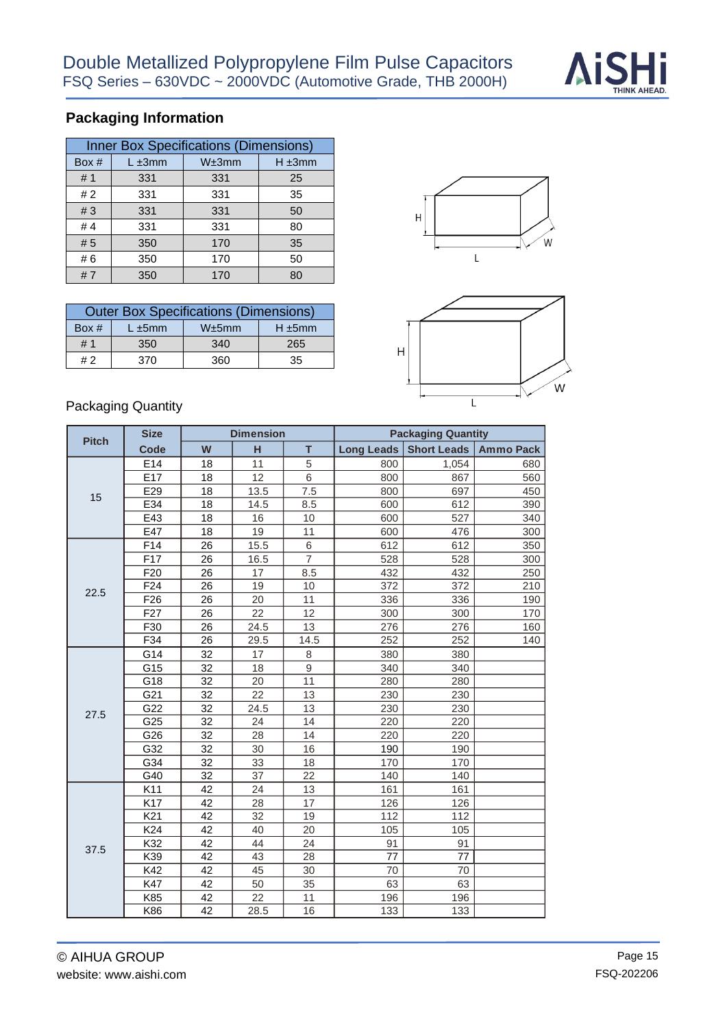

# **Packaging Information**

| <b>Inner Box Specifications (Dimensions)</b> |              |       |             |  |  |  |  |  |
|----------------------------------------------|--------------|-------|-------------|--|--|--|--|--|
| Box #                                        | $L \pm 3$ mm | W±3mm | $H \pm 3mm$ |  |  |  |  |  |
| #1                                           | 331          | 331   | 25          |  |  |  |  |  |
| #2                                           | 331          | 331   | 35          |  |  |  |  |  |
| #3                                           | 331          | 331   | 50          |  |  |  |  |  |
| # $4$                                        | 331          | 331   | 80          |  |  |  |  |  |
| #5                                           | 350          | 170   | 35          |  |  |  |  |  |
| #6                                           | 350          | 170   | 50          |  |  |  |  |  |
| #7                                           | 350          | 170   | 80          |  |  |  |  |  |

| <b>Outer Box Specifications (Dimensions)</b> |                                 |     |     |  |  |  |  |  |  |
|----------------------------------------------|---------------------------------|-----|-----|--|--|--|--|--|--|
| Box $#$                                      | W±5mm<br>$H \pm 5$ mm<br>L ±5mm |     |     |  |  |  |  |  |  |
| # 1                                          | 350                             | 340 | 265 |  |  |  |  |  |  |
| # 2                                          | 370                             | 360 | 35  |  |  |  |  |  |  |





#### Packaging Quantity

| <b>Pitch</b> | <b>Size</b>     |                 | <b>Dimension</b> |                | <b>Packaging Quantity</b> |                    |                  |
|--------------|-----------------|-----------------|------------------|----------------|---------------------------|--------------------|------------------|
|              | <b>Code</b>     | W               | н                | T.             | <b>Long Leads</b>         | <b>Short Leads</b> | <b>Ammo Pack</b> |
|              | E14             | 18              | 11               | 5              | 800                       | 1,054              | 680              |
|              | E <sub>17</sub> | 18              | 12               | 6              | 800                       | 867                | 560              |
| 15           | E29             | 18              | 13.5             | 7.5            | 800                       | 697                | 450              |
|              | E34             | 18              | 14.5             | 8.5            | 600                       | 612                | 390              |
|              | E43             | 18              | 16               | 10             | 600                       | 527                | 340              |
|              | E47             | 18              | 19               | 11             | 600                       | 476                | 300              |
|              | F14             | 26              | 15.5             | 6              | 612                       | 612                | 350              |
|              | F17             | 26              | 16.5             | $\overline{7}$ | 528                       | 528                | 300              |
|              | F <sub>20</sub> | 26              | 17               | 8.5            | 432                       | 432                | 250              |
| 22.5         | F24             | 26              | 19               | 10             | 372                       | 372                | 210              |
|              | F <sub>26</sub> | 26              | 20               | 11             | 336                       | 336                | 190              |
|              | F <sub>27</sub> | 26              | 22               | 12             | 300                       | 300                | 170              |
|              | F30             | 26              | 24.5             | 13             | 276                       | 276                | 160              |
|              | F34             | 26              | 29.5             | 14.5           | 252                       | 252                | 140              |
|              | G14             | 32              | 17               | 8              | 380                       | 380                |                  |
|              | G15             | $\overline{32}$ | 18               | $\overline{9}$ | 340                       | 340                |                  |
|              | G18             | 32              | 20               | 11             | 280                       | 280                |                  |
|              | G21             | 32              | 22               | 13             | 230                       | 230                |                  |
| 27.5         | G22             | 32              | 24.5             | 13             | 230                       | 230                |                  |
|              | G25             | 32              | 24               | 14             | 220                       | 220                |                  |
|              | G26             | 32              | 28               | 14             | 220                       | 220                |                  |
|              | G32             | 32              | 30               | 16             | 190                       | 190                |                  |
|              | G34             | 32              | 33               | 18             | 170                       | 170                |                  |
|              | G40             | 32              | 37               | 22             | 140                       | 140                |                  |
|              | K11             | 42              | 24               | 13             | 161                       | 161                |                  |
|              | K17             | 42              | 28               | 17             | 126                       | 126                |                  |
|              | K21             | 42              | 32               | 19             | 112                       | 112                |                  |
|              | K24             | 42              | 40               | 20             | 105                       | 105                |                  |
| 37.5         | K32             | 42              | 44               | 24             | 91                        | 91                 |                  |
|              | K39             | 42              | 43               | 28             | 77                        | 77                 |                  |
|              | K42             | 42              | 45               | 30             | 70                        | 70                 |                  |
|              | K47             | 42              | 50               | 35             | 63                        | 63                 |                  |
|              | K85             | 42              | 22               | 11             | 196                       | 196                |                  |
|              | K86             | 42              | 28.5             | 16             | 133                       | 133                |                  |